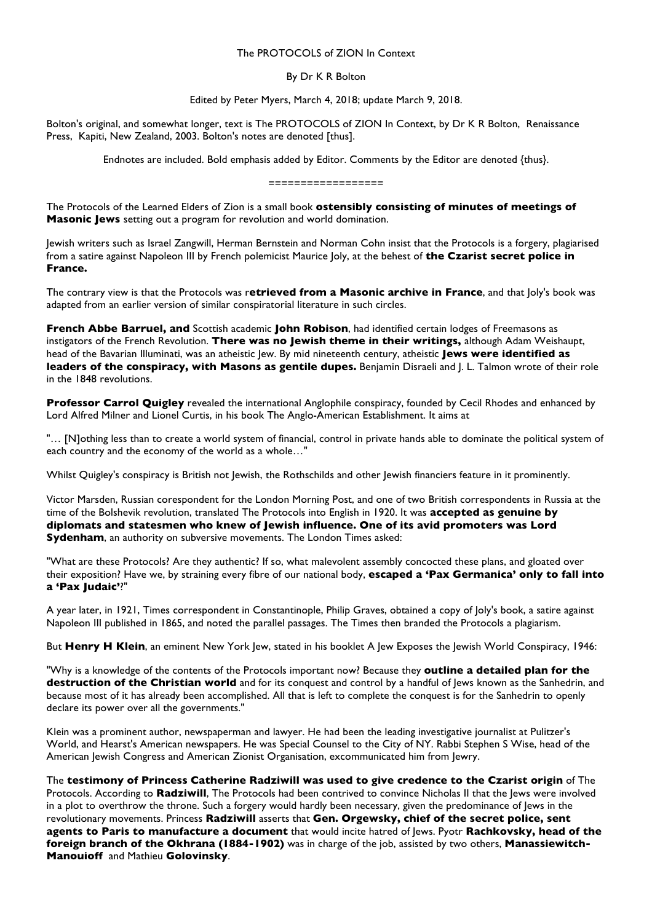### The PROTOCOLS of ZION In Context

By Dr K R Bolton

Edited by Peter Myers, March 4, 2018; update March 9, 2018.

Bolton's original, and somewhat longer, text is The PROTOCOLS of ZION In Context, by Dr K R Bolton, Renaissance Press, Kapiti, New Zealand, 2003. Bolton's notes are denoted [thus].

Endnotes are included. Bold emphasis added by Editor. Comments by the Editor are denoted {thus}.

#### ==================

The Protocols of the Learned Elders of Zion is a small book **ostensibly consisting of minutes of meetings of Masonic Jews** setting out a program for revolution and world domination.

Jewish writers such as Israel Zangwill, Herman Bernstein and Norman Cohn insist that the Protocols is a forgery, plagiarised from a satire against Napoleon III by French polemicist Maurice Joly, at the behest of **the Czarist secret police in France.**

The contrary view is that the Protocols was r**etrieved from a Masonic archive in France**, and that Joly's book was adapted from an earlier version of similar conspiratorial literature in such circles.

**French Abbe Barruel, and** Scottish academic **John Robison**, had identified certain lodges of Freemasons as instigators of the French Revolution. **There was no Jewish theme in their writings,** although Adam Weishaupt, head of the Bavarian Illuminati, was an atheistic Jew. By mid nineteenth century, atheistic Jews were identified as **leaders of the conspiracy, with Masons as gentile dupes.** Benjamin Disraeli and J. L. Talmon wrote of their role in the 1848 revolutions.

**Professor Carrol Quigley** revealed the international Anglophile conspiracy, founded by Cecil Rhodes and enhanced by Lord Alfred Milner and Lionel Curtis, in his book The Anglo-American Establishment. It aims at

"… [N]othing less than to create a world system of financial, control in private hands able to dominate the political system of each country and the economy of the world as a whole…"

Whilst Quigley's conspiracy is British not Jewish, the Rothschilds and other Jewish financiers feature in it prominently.

Victor Marsden, Russian corespondent for the London Morning Post, and one of two British correspondents in Russia at the time of the Bolshevik revolution, translated The Protocols into English in 1920. It was **accepted as genuine by diplomats and statesmen who knew of Jewish influence. One of its avid promoters was Lord Sydenham**, an authority on subversive movements. The London Times asked:

"What are these Protocols? Are they authentic? If so, what malevolent assembly concocted these plans, and gloated over their exposition? Have we, by straining every fibre of our national body, **escaped a 'Pax Germanica' only to fall into a 'Pax Judaic'**?"

A year later, in 1921, Times correspondent in Constantinople, Philip Graves, obtained a copy of Joly's book, a satire against Napoleon III published in 1865, and noted the parallel passages. The Times then branded the Protocols a plagiarism.

But **Henry H Klein**, an eminent New York Jew, stated in his booklet A Jew Exposes the Jewish World Conspiracy, 1946:

"Why is a knowledge of the contents of the Protocols important now? Because they **outline a detailed plan for the**  destruction of the Christian world and for its conquest and control by a handful of Jews known as the Sanhedrin, and because most of it has already been accomplished. All that is left to complete the conquest is for the Sanhedrin to openly declare its power over all the governments."

Klein was a prominent author, newspaperman and lawyer. He had been the leading investigative journalist at Pulitzer's World, and Hearst's American newspapers. He was Special Counsel to the City of NY. Rabbi Stephen S Wise, head of the American Jewish Congress and American Zionist Organisation, excommunicated him from Jewry.

The **testimony of Princess Catherine Radziwill was used to give credence to the Czarist origin** of The Protocols. According to **Radziwill**, The Protocols had been contrived to convince Nicholas II that the Jews were involved in a plot to overthrow the throne. Such a forgery would hardly been necessary, given the predominance of Jews in the revolutionary movements. Princess **Radziwill** asserts that **Gen. Orgewsky, chief of the secret police, sent agents to Paris to manufacture a document** that would incite hatred of Jews. Pyotr **Rachkovsky, head of the foreign branch of the Okhrana (1884-1902)** was in charge of the job, assisted by two others, **Manassiewitch-Manouioff** and Mathieu **Golovinsky**.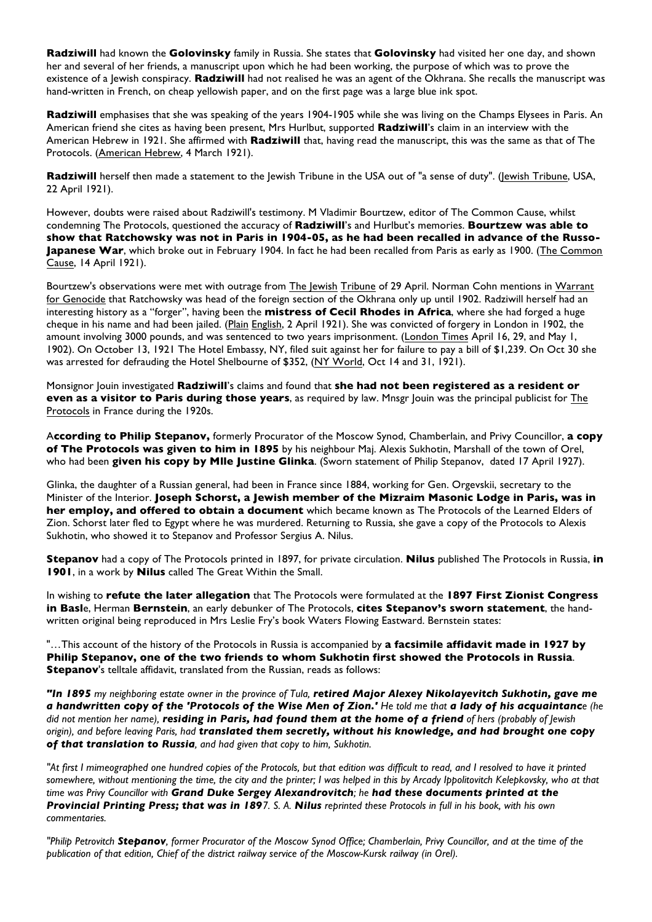**Radziwill** had known the **Golovinsky** family in Russia. She states that **Golovinsky** had visited her one day, and shown her and several of her friends, a manuscript upon which he had been working, the purpose of which was to prove the existence of a Jewish conspiracy. **Radziwill** had not realised he was an agent of the Okhrana. She recalls the manuscript was hand-written in French, on cheap yellowish paper, and on the first page was a large blue ink spot.

**Radziwill** emphasises that she was speaking of the years 1904-1905 while she was living on the Champs Elysees in Paris. An American friend she cites as having been present, Mrs Hurlbut, supported **Radziwill**'s claim in an interview with the American Hebrew in 1921. She affirmed with **Radziwill** that, having read the manuscript, this was the same as that of The Protocols. (American Hebrew, 4 March 1921).

Radziwill herself then made a statement to the Jewish Tribune in the USA out of "a sense of duty". (Jewish Tribune, USA, 22 April 1921).

However, doubts were raised about Radziwill's testimony. M Vladimir Bourtzew, editor of The Common Cause, whilst condemning The Protocols, questioned the accuracy of **Radziwill**'s and Hurlbut's memories. **Bourtzew was able to show that Ratchowsky was not in Paris in 1904-05, as he had been recalled in advance of the Russo-**Japanese War, which broke out in February 1904. In fact he had been recalled from Paris as early as 1900. (The Common Cause, 14 April 1921).

Bourtzew's observations were met with outrage from The Jewish Tribune of 29 April. Norman Cohn mentions in Warrant for Genocide that Ratchowsky was head of the foreign section of the Okhrana only up until 1902. Radziwill herself had an interesting history as a "forger", having been the **mistress of Cecil Rhodes in Africa**, where she had forged a huge cheque in his name and had been jailed. (Plain English, 2 April 1921). She was convicted of forgery in London in 1902, the amount involving 3000 pounds, and was sentenced to two years imprisonment. (London Times April 16, 29, and May 1, 1902). On October 13, 1921 The Hotel Embassy, NY, filed suit against her for failure to pay a bill of \$1,239. On Oct 30 she was arrested for defrauding the Hotel Shelbourne of \$352, (NY World, Oct 14 and 31, 1921).

Monsignor Jouin investigated **Radziwill**'s claims and found that **she had not been registered as a resident or even as a visitor to Paris during those years**, as required by law. Mnsgr Jouin was the principal publicist for The Protocols in France during the 1920s.

A**ccording to Philip Stepanov,** formerly Procurator of the Moscow Synod, Chamberlain, and Privy Councillor, **a copy of The Protocols was given to him in 1895** by his neighbour Maj. Alexis Sukhotin, Marshall of the town of Orel, who had been **given his copy by Mlle Justine Glinka**. (Sworn statement of Philip Stepanov, dated 17 April 1927).

Glinka, the daughter of a Russian general, had been in France since 1884, working for Gen. Orgevskii, secretary to the Minister of the Interior. **Joseph Schorst, a Jewish member of the Mizraim Masonic Lodge in Paris, was in her employ, and offered to obtain a document** which became known as The Protocols of the Learned Elders of Zion. Schorst later fled to Egypt where he was murdered. Returning to Russia, she gave a copy of the Protocols to Alexis Sukhotin, who showed it to Stepanov and Professor Sergius A. Nilus.

**Stepanov** had a copy of The Protocols printed in 1897, for private circulation. **Nilus** published The Protocols in Russia, **in 1901**, in a work by **Nilus** called The Great Within the Small.

In wishing to **refute the later allegation** that The Protocols were formulated at the **1897 First Zionist Congress in Basl**e, Herman **Bernstein**, an early debunker of The Protocols, **cites Stepanov's sworn statement**, the handwritten original being reproduced in Mrs Leslie Fry's book Waters Flowing Eastward. Bernstein states:

"…This account of the history of the Protocols in Russia is accompanied by **a facsimile affidavit made in 1927 by Philip Stepanov, one of the two friends to whom Sukhotin first showed the Protocols in Russia**. **Stepanov's telltale affidavit, translated from the Russian, reads as follows:** 

*"In 1895 my neighboring estate owner in the province of Tula, retired Major Alexey Nikolayevitch Sukhotin, gave me a handwritten copy of the 'Protocols of the Wise Men of Zion.' He told me that a lady of his acquaintance (he did not mention her name), residing in Paris, had found them at the home of a friend of hers (probably of Jewish origin), and before leaving Paris, had translated them secretly, without his knowledge, and had brought one copy of that translation to Russia, and had given that copy to him, Sukhotin.* 

*"At first I mimeographed one hundred copies of the Protocols, but that edition was difficult to read, and I resolved to have it printed somewhere, without mentioning the time, the city and the printer; I was helped in this by Arcady Ippolitovitch Kelepkovsky, who at that time was Privy Councillor with Grand Duke Sergey Alexandrovitch; he had these documents printed at the Provincial Printing Press; that was in 1897. S. A. Nilus reprinted these Protocols in full in his book, with his own commentaries.* 

*"Philip Petrovitch Stepanov, former Procurator of the Moscow Synod Office; Chamberlain, Privy Councillor, and at the time of the publication of that edition, Chief of the district railway service of the Moscow-Kursk railway (in Orel).*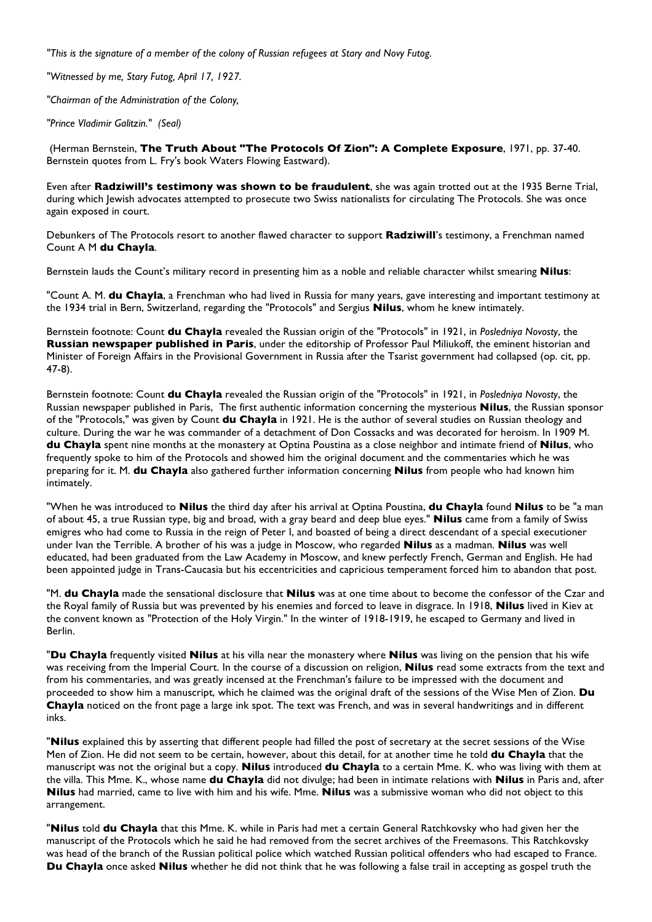*"This is the signature of a member of the colony of Russian refugees at Stary and Novy Futog.* 

*"Witnessed by me, Stary Futog, April 17, 1927.* 

*"Chairman of the Administration of the Colony,*

*"Prince Vladimir Galitzin." (Seal)*

(Herman Bernstein, **The Truth About "The Protocols Of Zion": A Complete Exposure**, 1971, pp. 37-40. Bernstein quotes from L. Fry's book Waters Flowing Eastward).

Even after **Radziwill's testimony was shown to be fraudulent**, she was again trotted out at the 1935 Berne Trial, during which Jewish advocates attempted to prosecute two Swiss nationalists for circulating The Protocols. She was once again exposed in court.

Debunkers of The Protocols resort to another flawed character to support **Radziwill**'s testimony, a Frenchman named Count A M **du Chayla**.

Bernstein lauds the Count's military record in presenting him as a noble and reliable character whilst smearing **Nilus**:

"Count A. M. **du Chayla**, a Frenchman who had lived in Russia for many years, gave interesting and important testimony at the 1934 trial in Bern, Switzerland, regarding the "Protocols" and Sergius **Nilus**, whom he knew intimately.

Bernstein footnote: Count **du Chayla** revealed the Russian origin of the "Protocols" in 1921, in *Posledniya Novosty*, the **Russian newspaper published in Paris**, under the editorship of Professor Paul Miliukoff, the eminent historian and Minister of Foreign Affairs in the Provisional Government in Russia after the Tsarist government had collapsed (op. cit, pp. 47-8).

Bernstein footnote: Count **du Chayla** revealed the Russian origin of the "Protocols" in 1921, in *Posledniya Novosty*, the Russian newspaper published in Paris, The first authentic information concerning the mysterious **Nilus**, the Russian sponsor of the "Protocols," was given by Count **du Chayla** in 1921. He is the author of several studies on Russian theology and culture. During the war he was commander of a detachment of Don Cossacks and was decorated for heroism. In 1909 M. **du Chayla** spent nine months at the monastery at Optina Poustina as a close neighbor and intimate friend of **Nilus**, who frequently spoke to him of the Protocols and showed him the original document and the commentaries which he was preparing for it. M. **du Chayla** also gathered further information concerning **Nilus** from people who had known him intimately.

"When he was introduced to **Nilus** the third day after his arrival at Optina Poustina, **du Chayla** found **Nilus** to be "a man of about 45, a true Russian type, big and broad, with a gray beard and deep blue eyes." **Nilus** came from a family of Swiss emigres who had come to Russia in the reign of Peter I, and boasted of being a direct descendant of a special executioner under Ivan the Terrible. A brother of his was a judge in Moscow, who regarded **Nilus** as a madman. **Nilus** was well educated, had been graduated from the Law Academy in Moscow, and knew perfectly French, German and English. He had been appointed judge in Trans-Caucasia but his eccentricities and capricious temperament forced him to abandon that post.

"M. **du Chayla** made the sensational disclosure that **Nilus** was at one time about to become the confessor of the Czar and the Royal family of Russia but was prevented by his enemies and forced to leave in disgrace. In 1918, **Nilus** lived in Kiev at the convent known as "Protection of the Holy Virgin." In the winter of 1918-1919, he escaped to Germany and lived in Berlin.

"**Du Chayla** frequently visited **Nilus** at his villa near the monastery where **Nilus** was living on the pension that his wife was receiving from the Imperial Court. In the course of a discussion on religion, **Nilus** read some extracts from the text and from his commentaries, and was greatly incensed at the Frenchman's failure to be impressed with the document and proceeded to show him a manuscript, which he claimed was the original draft of the sessions of the Wise Men of Zion. **Du Chayla** noticed on the front page a large ink spot. The text was French, and was in several handwritings and in different inks.

"**Nilus** explained this by asserting that different people had filled the post of secretary at the secret sessions of the Wise Men of Zion. He did not seem to be certain, however, about this detail, for at another time he told **du Chayla** that the manuscript was not the original but a copy. **Nilus** introduced **du Chayla** to a certain Mme. K. who was living with them at the villa. This Mme. K., whose name **du Chayla** did not divulge; had been in intimate relations with **Nilus** in Paris and, after **Nilus** had married, came to live with him and his wife. Mme. **Nilus** was a submissive woman who did not object to this arrangement.

"**Nilus** told **du Chayla** that this Mme. K. while in Paris had met a certain General Ratchkovsky who had given her the manuscript of the Protocols which he said he had removed from the secret archives of the Freemasons. This Ratchkovsky was head of the branch of the Russian political police which watched Russian political offenders who had escaped to France. **Du Chayla** once asked **Nilus** whether he did not think that he was following a false trail in accepting as gospel truth the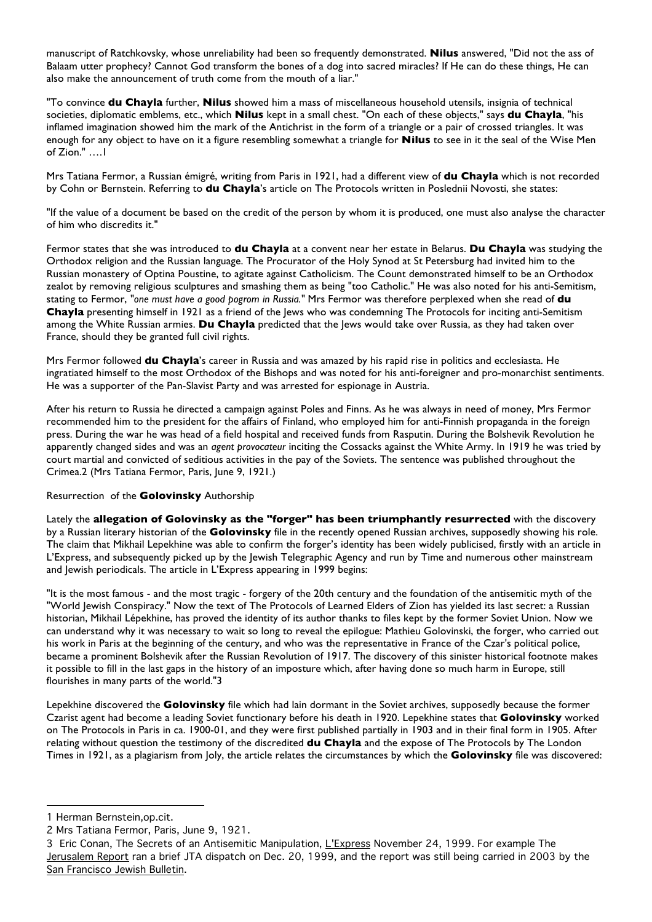manuscript of Ratchkovsky, whose unreliability had been so frequently demonstrated. **Nilus** answered, "Did not the ass of Balaam utter prophecy? Cannot God transform the bones of a dog into sacred miracles? If He can do these things, He can also make the announcement of truth come from the mouth of a liar."

"To convince **du Chayla** further, **Nilus** showed him a mass of miscellaneous household utensils, insignia of technical societies, diplomatic emblems, etc., which **Nilus** kept in a small chest. "On each of these objects," says **du Chayla**, "his inflamed imagination showed him the mark of the Antichrist in the form of a triangle or a pair of crossed triangles. It was enough for any object to have on it a figure resembling somewhat a triangle for **Nilus** to see in it the seal of the Wise Men of  $Zion."$  ….

Mrs Tatiana Fermor, a Russian émigré, writing from Paris in 1921, had a different view of **du Chayla** which is not recorded by Cohn or Bernstein. Referring to **du Chayla**'s article on The Protocols written in Poslednii Novosti, she states:

"If the value of a document be based on the credit of the person by whom it is produced, one must also analyse the character of him who discredits it."

Fermor states that she was introduced to **du Chayla** at a convent near her estate in Belarus. **Du Chayla** was studying the Orthodox religion and the Russian language. The Procurator of the Holy Synod at St Petersburg had invited him to the Russian monastery of Optina Poustine, to agitate against Catholicism. The Count demonstrated himself to be an Orthodox zealot by removing religious sculptures and smashing them as being "too Catholic." He was also noted for his anti-Semitism, stating to Fermor, *"one must have a good pogrom in Russia."* Mrs Fermor was therefore perplexed when she read of **du Chayla** presenting himself in 1921 as a friend of the Jews who was condemning The Protocols for inciting anti-Semitism among the White Russian armies. **Du Chayla** predicted that the Jews would take over Russia, as they had taken over France, should they be granted full civil rights.

Mrs Fermor followed **du Chayla**'s career in Russia and was amazed by his rapid rise in politics and ecclesiasta. He ingratiated himself to the most Orthodox of the Bishops and was noted for his anti-foreigner and pro-monarchist sentiments. He was a supporter of the Pan-Slavist Party and was arrested for espionage in Austria.

After his return to Russia he directed a campaign against Poles and Finns. As he was always in need of money, Mrs Fermor recommended him to the president for the affairs of Finland, who employed him for anti-Finnish propaganda in the foreign press. During the war he was head of a field hospital and received funds from Rasputin. During the Bolshevik Revolution he apparently changed sides and was an *agent provocateur* inciting the Cossacks against the White Army. In 1919 he was tried by court martial and convicted of seditious activities in the pay of the Soviets. The sentence was published throughout the Crimea.2 (Mrs Tatiana Fermor, Paris, June 9, 1921.)

### Resurrection of the **Golovinsky** Authorship

Lately the **allegation of Golovinsky as the "forger" has been triumphantly resurrected** with the discovery by a Russian literary historian of the **Golovinsky** file in the recently opened Russian archives, supposedly showing his role. The claim that Mikhail Lepekhine was able to confirm the forger's identity has been widely publicised, firstly with an article in L'Express, and subsequently picked up by the Jewish Telegraphic Agency and run by Time and numerous other mainstream and Jewish periodicals. The article in L'Express appearing in 1999 begins:

"It is the most famous - and the most tragic - forgery of the 20th century and the foundation of the antisemitic myth of the "World Jewish Conspiracy." Now the text of The Protocols of Learned Elders of Zion has yielded its last secret: a Russian historian, Mikhail Lépekhine, has proved the identity of its author thanks to files kept by the former Soviet Union. Now we can understand why it was necessary to wait so long to reveal the epilogue: Mathieu Golovinski, the forger, who carried out his work in Paris at the beginning of the century, and who was the representative in France of the Czar's political police, became a prominent Bolshevik after the Russian Revolution of 1917. The discovery of this sinister historical footnote makes it possible to fill in the last gaps in the history of an imposture which, after having done so much harm in Europe, still flourishes in many parts of the world."3

Lepekhine discovered the **Golovinsky** file which had lain dormant in the Soviet archives, supposedly because the former Czarist agent had become a leading Soviet functionary before his death in 1920. Lepekhine states that **Golovinsky** worked on The Protocols in Paris in ca. 1900-01, and they were first published partially in 1903 and in their final form in 1905. After relating without question the testimony of the discredited **du Chayla** and the expose of The Protocols by The London Times in 1921, as a plagiarism from Joly, the article relates the circumstances by which the **Golovinsky** file was discovered:

<sup>1</sup> Herman Bernstein,op.cit.

<sup>2</sup> Mrs Tatiana Fermor, Paris, June 9, 1921.

<sup>3</sup> Eric Conan, The Secrets of an Antisemitic Manipulation, L'Express November 24, 1999. For example The Jerusalem Report ran a brief JTA dispatch on Dec. 20, 1999, and the report was still being carried in 2003 by the San Francisco Jewish Bulletin.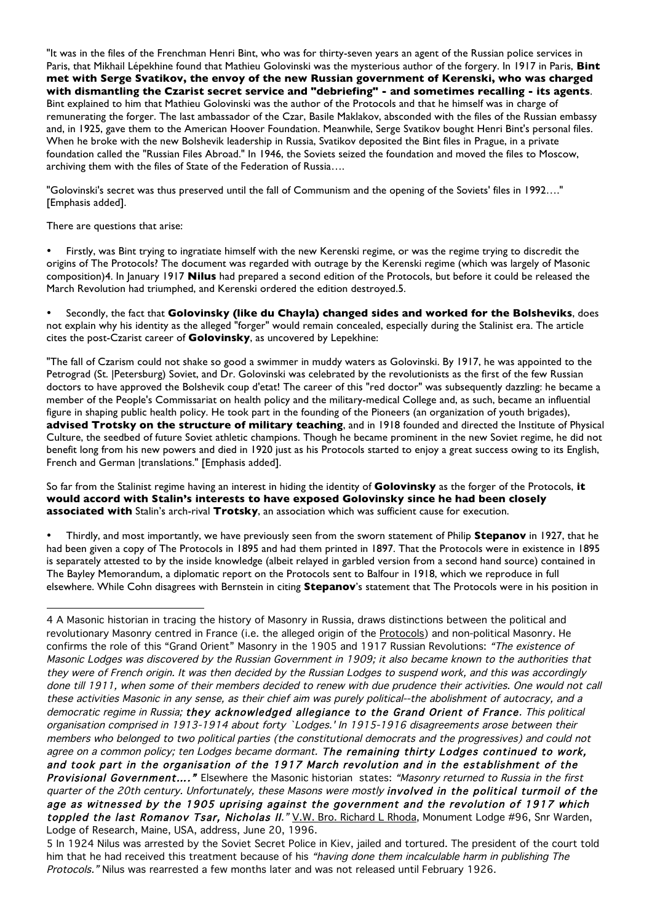"It was in the files of the Frenchman Henri Bint, who was for thirty-seven years an agent of the Russian police services in Paris, that Mikhail Lépekhine found that Mathieu Golovinski was the mysterious author of the forgery. In 1917 in Paris, **Bint met with Serge Svatikov, the envoy of the new Russian government of Kerenski, who was charged with dismantling the Czarist secret service and "debriefing" - and sometimes recalling - its agents**. Bint explained to him that Mathieu Golovinski was the author of the Protocols and that he himself was in charge of remunerating the forger. The last ambassador of the Czar, Basile Maklakov, absconded with the files of the Russian embassy and, in 1925, gave them to the American Hoover Foundation. Meanwhile, Serge Svatikov bought Henri Bint's personal files. When he broke with the new Bolshevik leadership in Russia, Svatikov deposited the Bint files in Prague, in a private foundation called the "Russian Files Abroad." In 1946, the Soviets seized the foundation and moved the files to Moscow, archiving them with the files of State of the Federation of Russia….

"Golovinski's secret was thus preserved until the fall of Communism and the opening of the Soviets' files in 1992…." [Emphasis added].

There are questions that arise:

l

• Firstly, was Bint trying to ingratiate himself with the new Kerenski regime, or was the regime trying to discredit the origins of The Protocols? The document was regarded with outrage by the Kerenski regime (which was largely of Masonic composition)4. In January 1917 **Nilus** had prepared a second edition of the Protocols, but before it could be released the March Revolution had triumphed, and Kerenski ordered the edition destroyed.5.

• Secondly, the fact that **Golovinsky (like du Chayla) changed sides and worked for the Bolsheviks**, does not explain why his identity as the alleged "forger" would remain concealed, especially during the Stalinist era. The article cites the post-Czarist career of **Golovinsky**, as uncovered by Lepekhine:

"The fall of Czarism could not shake so good a swimmer in muddy waters as Golovinski. By 1917, he was appointed to the Petrograd (St. |Petersburg) Soviet, and Dr. Golovinski was celebrated by the revolutionists as the first of the few Russian doctors to have approved the Bolshevik coup d'etat! The career of this "red doctor" was subsequently dazzling: he became a member of the People's Commissariat on health policy and the military-medical College and, as such, became an influential figure in shaping public health policy. He took part in the founding of the Pioneers (an organization of youth brigades), **advised Trotsky on the structure of military teaching**, and in 1918 founded and directed the Institute of Physical Culture, the seedbed of future Soviet athletic champions. Though he became prominent in the new Soviet regime, he did not benefit long from his new powers and died in 1920 just as his Protocols started to enjoy a great success owing to its English, French and German |translations." [Emphasis added].

So far from the Stalinist regime having an interest in hiding the identity of **Golovinsky** as the forger of the Protocols, **it would accord with Stalin's interests to have exposed Golovinsky since he had been closely associated with** Stalin's arch-rival **Trotsky**, an association which was sufficient cause for execution.

• Thirdly, and most importantly, we have previously seen from the sworn statement of Philip **Stepanov** in 1927, that he had been given a copy of The Protocols in 1895 and had them printed in 1897. That the Protocols were in existence in 1895 is separately attested to by the inside knowledge (albeit relayed in garbled version from a second hand source) contained in The Bayley Memorandum, a diplomatic report on the Protocols sent to Balfour in 1918, which we reproduce in full elsewhere. While Cohn disagrees with Bernstein in citing **Stepanov**'s statement that The Protocols were in his position in

<sup>4</sup> A Masonic historian in tracing the history of Masonry in Russia, draws distinctions between the political and revolutionary Masonry centred in France (i.e. the alleged origin of the Protocols) and non-political Masonry. He confirms the role of this "Grand Orient" Masonry in the 1905 and 1917 Russian Revolutions: "The existence of Masonic Lodges was discovered by the Russian Government in 1909; it also became known to the authorities that they were of French origin. It was then decided by the Russian Lodges to suspend work, and this was accordingly done till 1911, when some of their members decided to renew with due prudence their activities. One would not call these activities Masonic in any sense, as their chief aim was purely political--the abolishment of autocracy, and a democratic regime in Russia; they acknowledged allegiance to the Grand Orient of France. This political organisation comprised in 1913-1914 about forty `Lodges.' In 1915-1916 disagreements arose between their members who belonged to two political parties (the constitutional democrats and the progressives) and could not agree on a common policy; ten Lodges became dormant. The remaining thirty Lodges continued to work, and took part in the organisation of the 1917 March revolution and in the establishment of the Provisional Government...." Elsewhere the Masonic historian states: "Masonry returned to Russia in the first quarter of the 20th century. Unfortunately, these Masons were mostly involved in the political turmoil of the age as witnessed by the 1905 uprising against the government and the revolution of 1917 which toppled the last Romanov Tsar, Nicholas II." V.W. Bro. Richard L Rhoda, Monument Lodge #96, Snr Warden, Lodge of Research, Maine, USA, address, June 20, 1996.

<sup>5</sup> In 1924 Nilus was arrested by the Soviet Secret Police in Kiev, jailed and tortured. The president of the court told him that he had received this treatment because of his "having done them incalculable harm in publishing The Protocols." Nilus was rearrested a few months later and was not released until February 1926.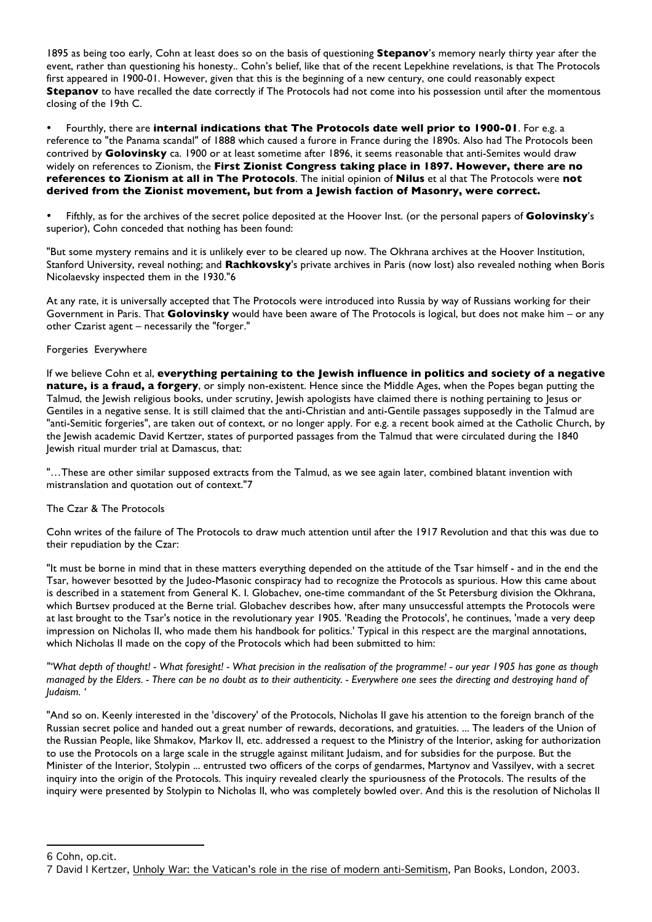1895 as being too early, Cohn at least does so on the basis of questioning **Stepanov**'s memory nearly thirty year after the event, rather than questioning his honesty.. Cohn's belief, like that of the recent Lepekhine revelations, is that The Protocols first appeared in 1900-01. However, given that this is the beginning of a new century, one could reasonably expect **Stepanov** to have recalled the date correctly if The Protocols had not come into his possession until after the momentous closing of the 19th C.

• Fourthly, there are **internal indications that The Protocols date well prior to 1900-01**. For e.g. a reference to "the Panama scandal" of 1888 which caused a furore in France during the 1890s. Also had The Protocols been contrived by **Golovinsky** ca. 1900 or at least sometime after 1896, it seems reasonable that anti-Semites would draw widely on references to Zionism, the **First Zionist Congress taking place in 1897. However, there are no references to Zionism at all in The Protocols**. The initial opinion of **Nilus** et al that The Protocols were **not derived from the Zionist movement, but from a Jewish faction of Masonry, were correct.**

• Fifthly, as for the archives of the secret police deposited at the Hoover Inst. (or the personal papers of **Golovinsky**'s superior), Cohn conceded that nothing has been found:

"But some mystery remains and it is unlikely ever to be cleared up now. The Okhrana archives at the Hoover Institution, Stanford University, reveal nothing; and **Rachkovsky**'s private archives in Paris (now lost) also revealed nothing when Boris Nicolaevsky inspected them in the 1930."6

At any rate, it is universally accepted that The Protocols were introduced into Russia by way of Russians working for their Government in Paris. That **Golovinsky** would have been aware of The Protocols is logical, but does not make him – or any other Czarist agent – necessarily the "forger."

### Forgeries Everywhere

If we believe Cohn et al, **everything pertaining to the Jewish influence in politics and society of a negative nature, is a fraud, a forgery**, or simply non-existent. Hence since the Middle Ages, when the Popes began putting the Talmud, the Jewish religious books, under scrutiny, Jewish apologists have claimed there is nothing pertaining to Jesus or Gentiles in a negative sense. It is still claimed that the anti-Christian and anti-Gentile passages supposedly in the Talmud are "anti-Semitic forgeries", are taken out of context, or no longer apply. For e.g. a recent book aimed at the Catholic Church, by the Jewish academic David Kertzer, states of purported passages from the Talmud that were circulated during the 1840 Jewish ritual murder trial at Damascus, that:

"…These are other similar supposed extracts from the Talmud, as we see again later, combined blatant invention with mistranslation and quotation out of context."7

### The Czar & The Protocols

Cohn writes of the failure of The Protocols to draw much attention until after the 1917 Revolution and that this was due to their repudiation by the Czar:

"It must be borne in mind that in these matters everything depended on the attitude of the Tsar himself - and in the end the Tsar, however besotted by the Judeo-Masonic conspiracy had to recognize the Protocols as spurious. How this came about is described in a statement from General K. I. Globachev, one-time commandant of the St Petersburg division the Okhrana, which Burtsev produced at the Berne trial. Globachev describes how, after many unsuccessful attempts the Protocols were at last brought to the Tsar's notice in the revolutionary year 1905. 'Reading the Protocols', he continues, 'made a very deep impression on Nicholas II, who made them his handbook for politics.' Typical in this respect are the marginal annotations, which Nicholas II made on the copy of the Protocols which had been submitted to him:

*"'What depth of thought! - What foresight! - What precision in the realisation of the programme! - our year 1905 has gone as though managed by the Elders. - There can be no doubt as to their authenticity. - Everywhere one sees the directing and destroying hand of Judaism. '*

"And so on. Keenly interested in the 'discovery' of the Protocols, Nicholas II gave his attention to the foreign branch of the Russian secret police and handed out a great number of rewards, decorations, and gratuities. ... The leaders of the Union of the Russian People, like Shmakov, Markov II, etc. addressed a request to the Ministry of the Interior, asking for authorization to use the Protocols on a large scale in the struggle against militant Judaism, and for subsidies for the purpose. But the Minister of the Interior, Stolypin ... entrusted two officers of the corps of gendarmes, Martynov and Vassilyev, with a secret inquiry into the origin of the Protocols. This inquiry revealed clearly the spuriousness of the Protocols. The results of the inquiry were presented by Stolypin to Nicholas II, who was completely bowled over. And this is the resolution of Nicholas Il

<sup>6</sup> Cohn, op.cit.

<sup>7</sup> David I Kertzer, Unholy War: the Vatican's role in the rise of modern anti-Semitism, Pan Books, London, 2003.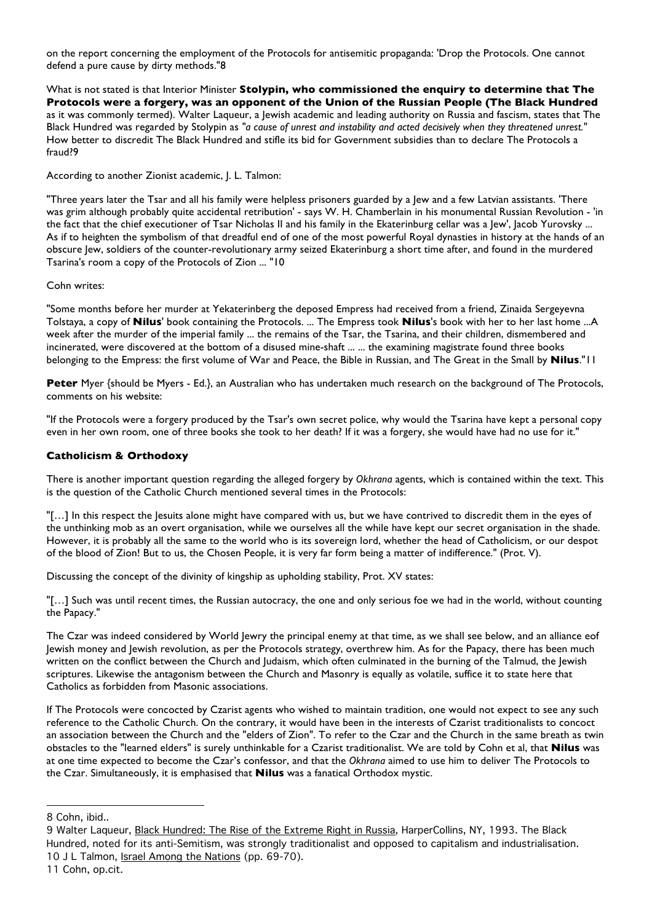on the report concerning the employment of the Protocols for antisemitic propaganda: 'Drop the Protocols. One cannot defend a pure cause by dirty methods."8

What is not stated is that Interior Minister **Stolypin, who commissioned the enquiry to determine that The Protocols were a forgery, was an opponent of the Union of the Russian People (The Black Hundred**  as it was commonly termed). Walter Laqueur, a Jewish academic and leading authority on Russia and fascism, states that The Black Hundred was regarded by Stolypin as *"a cause of unrest and instability and acted decisively when they threatened unrest."*  How better to discredit The Black Hundred and stifle its bid for Government subsidies than to declare The Protocols a fraud?9

According to another Zionist academic, J. L. Talmon:

"Three years later the Tsar and all his family were helpless prisoners guarded by a Jew and a few Latvian assistants. 'There was grim although probably quite accidental retribution' - says W. H. Chamberlain in his monumental Russian Revolution - 'in the fact that the chief executioner of Tsar Nicholas II and his family in the Ekaterinburg cellar was a Jew', Jacob Yurovsky ... As if to heighten the symbolism of that dreadful end of one of the most powerful Royal dynasties in history at the hands of an obscure Jew, soldiers of the counter-revolutionary army seized Ekaterinburg a short time after, and found in the murdered Tsarina's room a copy of the Protocols of Zion ... "10

Cohn writes:

"Some months before her murder at Yekaterinberg the deposed Empress had received from a friend, Zinaida Sergeyevna Tolstaya, a copy of **Nilus**' book containing the Protocols. ... The Empress took **Nilus**'s book with her to her last home ...A week after the murder of the imperial family ... the remains of the Tsar, the Tsarina, and their children, dismembered and incinerated, were discovered at the bottom of a disused mine-shaft ... ... the examining magistrate found three books belonging to the Empress: the first volume of War and Peace, the Bible in Russian, and The Great in the Small by **Nilus**."11

Peter Myer {should be Myers - Ed.}, an Australian who has undertaken much research on the background of The Protocols, comments on his website:

"If the Protocols were a forgery produced by the Tsar's own secret police, why would the Tsarina have kept a personal copy even in her own room, one of three books she took to her death? If it was a forgery, she would have had no use for it."

## **Catholicism & Orthodoxy**

There is another important question regarding the alleged forgery by *Okhrana* agents, which is contained within the text. This is the question of the Catholic Church mentioned several times in the Protocols:

"[…] In this respect the Jesuits alone might have compared with us, but we have contrived to discredit them in the eyes of the unthinking mob as an overt organisation, while we ourselves all the while have kept our secret organisation in the shade. However, it is probably all the same to the world who is its sovereign lord, whether the head of Catholicism, or our despot of the blood of Zion! But to us, the Chosen People, it is very far form being a matter of indifference." (Prot. V).

Discussing the concept of the divinity of kingship as upholding stability, Prot. XV states:

"[…] Such was until recent times, the Russian autocracy, the one and only serious foe we had in the world, without counting the Papacy."

The Czar was indeed considered by World Jewry the principal enemy at that time, as we shall see below, and an alliance eof Jewish money and Jewish revolution, as per the Protocols strategy, overthrew him. As for the Papacy, there has been much written on the conflict between the Church and Judaism, which often culminated in the burning of the Talmud, the Jewish scriptures. Likewise the antagonism between the Church and Masonry is equally as volatile, suffice it to state here that Catholics as forbidden from Masonic associations.

If The Protocols were concocted by Czarist agents who wished to maintain tradition, one would not expect to see any such reference to the Catholic Church. On the contrary, it would have been in the interests of Czarist traditionalists to concoct an association between the Church and the "elders of Zion". To refer to the Czar and the Church in the same breath as twin obstacles to the "learned elders" is surely unthinkable for a Czarist traditionalist. We are told by Cohn et al, that **Nilus** was at one time expected to become the Czar's confessor, and that the *Okhrana* aimed to use him to deliver The Protocols to the Czar. Simultaneously, it is emphasised that **Nilus** was a fanatical Orthodox mystic.

<sup>8</sup> Cohn, ibid..

<sup>9</sup> Walter Laqueur, Black Hundred: The Rise of the Extreme Right in Russia, HarperCollins, NY, 1993. The Black Hundred, noted for its anti-Semitism, was strongly traditionalist and opposed to capitalism and industrialisation. 10 J L Talmon, Israel Among the Nations (pp. 69-70).

<sup>11</sup> Cohn, op.cit.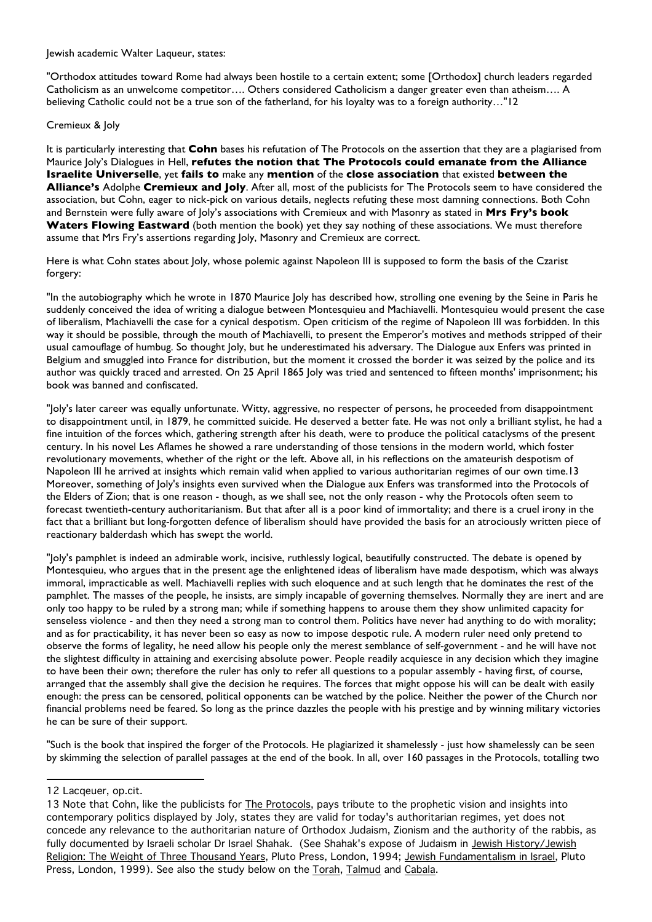Jewish academic Walter Laqueur, states:

"Orthodox attitudes toward Rome had always been hostile to a certain extent; some [Orthodox] church leaders regarded Catholicism as an unwelcome competitor…. Others considered Catholicism a danger greater even than atheism…. A believing Catholic could not be a true son of the fatherland, for his loyalty was to a foreign authority…"12

### Cremieux & Joly

It is particularly interesting that **Cohn** bases his refutation of The Protocols on the assertion that they are a plagiarised from Maurice Joly's Dialogues in Hell, **refutes the notion that The Protocols could emanate from the Alliance Israelite Universelle**, yet **fails to** make any **mention** of the **close association** that existed **between the Alliance's** Adolphe **Cremieux and Joly**. After all, most of the publicists for The Protocols seem to have considered the association, but Cohn, eager to nick-pick on various details, neglects refuting these most damning connections. Both Cohn and Bernstein were fully aware of Joly's associations with Cremieux and with Masonry as stated in **Mrs Fry's book Waters Flowing Eastward** (both mention the book) yet they say nothing of these associations. We must therefore assume that Mrs Fry's assertions regarding Joly, Masonry and Cremieux are correct.

Here is what Cohn states about Joly, whose polemic against Napoleon III is supposed to form the basis of the Czarist forgery:

"In the autobiography which he wrote in 1870 Maurice Joly has described how, strolling one evening by the Seine in Paris he suddenly conceived the idea of writing a dialogue between Montesquieu and Machiavelli. Montesquieu would present the case of liberalism, Machiavelli the case for a cynical despotism. Open criticism of the regime of Napoleon III was forbidden. In this way it should be possible, through the mouth of Machiavelli, to present the Emperor's motives and methods stripped of their usual camouflage of humbug. So thought Joly, but he underestimated his adversary. The Dialogue aux Enfers was printed in Belgium and smuggled into France for distribution, but the moment it crossed the border it was seized by the police and its author was quickly traced and arrested. On 25 April 1865 Joly was tried and sentenced to fifteen months' imprisonment; his book was banned and confiscated.

"Joly's later career was equally unfortunate. Witty, aggressive, no respecter of persons, he proceeded from disappointment to disappointment until, in 1879, he committed suicide. He deserved a better fate. He was not only a brilliant stylist, he had a fine intuition of the forces which, gathering strength after his death, were to produce the political cataclysms of the present century. In his novel Les Aflames he showed a rare understanding of those tensions in the modern world, which foster revolutionary movements, whether of the right or the left. Above all, in his reflections on the amateurish despotism of Napoleon III he arrived at insights which remain valid when applied to various authoritarian regimes of our own time.13 Moreover, something of Joly's insights even survived when the Dialogue aux Enfers was transformed into the Protocols of the Elders of Zion; that is one reason - though, as we shall see, not the only reason - why the Protocols often seem to forecast twentieth-century authoritarianism. But that after all is a poor kind of immortality; and there is a cruel irony in the fact that a brilliant but long-forgotten defence of liberalism should have provided the basis for an atrociously written piece of reactionary balderdash which has swept the world.

"Joly's pamphlet is indeed an admirable work, incisive, ruthlessly logical, beautifully constructed. The debate is opened by Montesquieu, who argues that in the present age the enlightened ideas of liberalism have made despotism, which was always immoral, impracticable as well. Machiavelli replies with such eloquence and at such length that he dominates the rest of the pamphlet. The masses of the people, he insists, are simply incapable of governing themselves. Normally they are inert and are only too happy to be ruled by a strong man; while if something happens to arouse them they show unlimited capacity for senseless violence - and then they need a strong man to control them. Politics have never had anything to do with morality; and as for practicability, it has never been so easy as now to impose despotic rule. A modern ruler need only pretend to observe the forms of legality, he need allow his people only the merest semblance of self-government - and he will have not the slightest difficulty in attaining and exercising absolute power. People readily acquiesce in any decision which they imagine to have been their own; therefore the ruler has only to refer all questions to a popular assembly - having first, of course, arranged that the assembly shall give the decision he requires. The forces that might oppose his will can be dealt with easily enough: the press can be censored, political opponents can be watched by the police. Neither the power of the Church nor financial problems need be feared. So long as the prince dazzles the people with his prestige and by winning military victories he can be sure of their support.

"Such is the book that inspired the forger of the Protocols. He plagiarized it shamelessly - just how shamelessly can be seen by skimming the selection of parallel passages at the end of the book. In all, over 160 passages in the Protocols, totalling two

<sup>12</sup> Lacqeuer, op.cit.

<sup>13</sup> Note that Cohn, like the publicists for The Protocols, pays tribute to the prophetic vision and insights into contemporary politics displayed by Joly, states they are valid for today's authoritarian regimes, yet does not concede any relevance to the authoritarian nature of Orthodox Judaism, Zionism and the authority of the rabbis, as fully documented by Israeli scholar Dr Israel Shahak. (See Shahak's expose of Judaism in Jewish History/Jewish Religion: The Weight of Three Thousand Years, Pluto Press, London, 1994; Jewish Fundamentalism in Israel, Pluto Press, London, 1999). See also the study below on the Torah, Talmud and Cabala.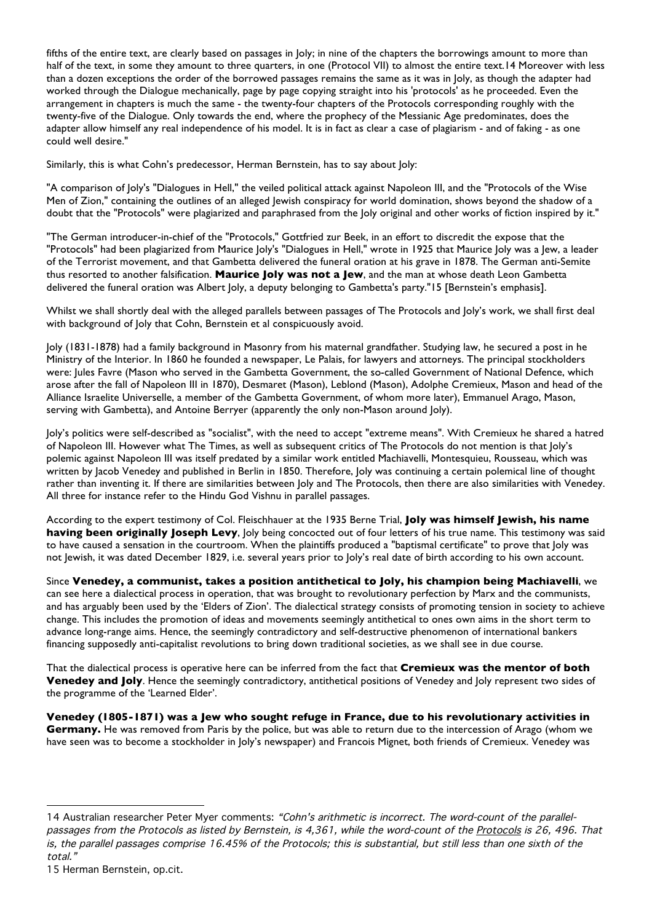fifths of the entire text, are clearly based on passages in Joly; in nine of the chapters the borrowings amount to more than half of the text, in some they amount to three quarters, in one (Protocol VII) to almost the entire text.14 Moreover with less than a dozen exceptions the order of the borrowed passages remains the same as it was in Joly, as though the adapter had worked through the Dialogue mechanically, page by page copying straight into his 'protocols' as he proceeded. Even the arrangement in chapters is much the same - the twenty-four chapters of the Protocols corresponding roughly with the twenty-five of the Dialogue. Only towards the end, where the prophecy of the Messianic Age predominates, does the adapter allow himself any real independence of his model. It is in fact as clear a case of plagiarism - and of faking - as one could well desire."

Similarly, this is what Cohn's predecessor, Herman Bernstein, has to say about Joly:

"A comparison of Joly's "Dialogues in Hell," the veiled political attack against Napoleon III, and the "Protocols of the Wise Men of Zion," containing the outlines of an alleged Jewish conspiracy for world domination, shows beyond the shadow of a doubt that the "Protocols" were plagiarized and paraphrased from the Joly original and other works of fiction inspired by it."

"The German introducer-in-chief of the "Protocols," Gottfried zur Beek, in an effort to discredit the expose that the "Protocols" had been plagiarized from Maurice Joly's "Dialogues in Hell," wrote in 1925 that Maurice Joly was a Jew, a leader of the Terrorist movement, and that Gambetta delivered the funeral oration at his grave in 1878. The German anti-Semite thus resorted to another falsification. **Maurice Joly was not a Jew**, and the man at whose death Leon Gambetta delivered the funeral oration was Albert Joly, a deputy belonging to Gambetta's party."15 [Bernstein's emphasis].

Whilst we shall shortly deal with the alleged parallels between passages of The Protocols and Joly's work, we shall first deal with background of Joly that Cohn, Bernstein et al conspicuously avoid.

Joly (1831-1878) had a family background in Masonry from his maternal grandfather. Studying law, he secured a post in he Ministry of the Interior. In 1860 he founded a newspaper, Le Palais, for lawyers and attorneys. The principal stockholders were: Jules Favre (Mason who served in the Gambetta Government, the so-called Government of National Defence, which arose after the fall of Napoleon III in 1870), Desmaret (Mason), Leblond (Mason), Adolphe Cremieux, Mason and head of the Alliance Israelite Universelle, a member of the Gambetta Government, of whom more later), Emmanuel Arago, Mason, serving with Gambetta), and Antoine Berryer (apparently the only non-Mason around  $|o|y$ ).

Joly's politics were self-described as "socialist", with the need to accept "extreme means". With Cremieux he shared a hatred of Napoleon III. However what The Times, as well as subsequent critics of The Protocols do not mention is that Joly's polemic against Napoleon III was itself predated by a similar work entitled Machiavelli, Montesquieu, Rousseau, which was written by Jacob Venedey and published in Berlin in 1850. Therefore, Joly was continuing a certain polemical line of thought rather than inventing it. If there are similarities between Joly and The Protocols, then there are also similarities with Venedey. All three for instance refer to the Hindu God Vishnu in parallel passages.

According to the expert testimony of Col. Fleischhauer at the 1935 Berne Trial, **Joly was himself Jewish, his name having been originally Joseph Levy**, Joly being concocted out of four letters of his true name. This testimony was said to have caused a sensation in the courtroom. When the plaintiffs produced a "baptismal certificate" to prove that Joly was not Jewish, it was dated December 1829, i.e. several years prior to Joly's real date of birth according to his own account.

Since **Venedey, a communist, takes a position antithetical to Joly, his champion being Machiavelli**, we can see here a dialectical process in operation, that was brought to revolutionary perfection by Marx and the communists, and has arguably been used by the 'Elders of Zion'. The dialectical strategy consists of promoting tension in society to achieve change. This includes the promotion of ideas and movements seemingly antithetical to ones own aims in the short term to advance long-range aims. Hence, the seemingly contradictory and self-destructive phenomenon of international bankers financing supposedly anti-capitalist revolutions to bring down traditional societies, as we shall see in due course.

That the dialectical process is operative here can be inferred from the fact that **Cremieux was the mentor of both Venedey and Joly**. Hence the seemingly contradictory, antithetical positions of Venedey and Joly represent two sides of the programme of the 'Learned Elder'.

**Venedey (1805-1871) was a Jew who sought refuge in France, due to his revolutionary activities in Germany.** He was removed from Paris by the police, but was able to return due to the intercession of Arago (whom we have seen was to become a stockholder in Joly's newspaper) and Francois Mignet, both friends of Cremieux. Venedey was

<sup>14</sup> Australian researcher Peter Myer comments: "Cohn's arithmetic is incorrect. The word-count of the parallelpassages from the Protocols as listed by Bernstein, is 4,361, while the word-count of the Protocols is 26, 496. That is, the parallel passages comprise 16.45% of the Protocols; this is substantial, but still less than one sixth of the total."

<sup>15</sup> Herman Bernstein, op.cit.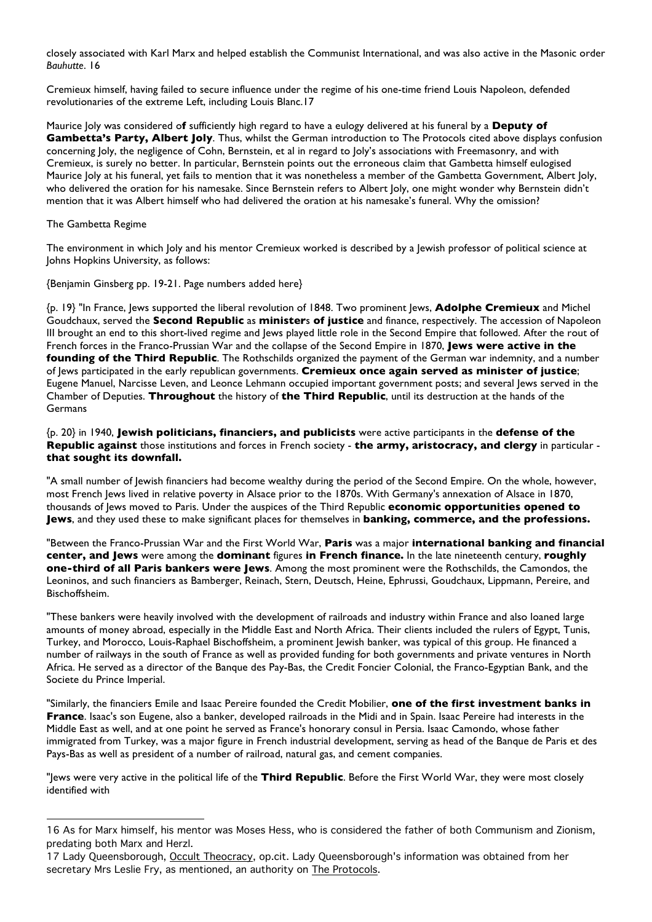closely associated with Karl Marx and helped establish the Communist International, and was also active in the Masonic order *Bauhutte*. 16

Cremieux himself, having failed to secure influence under the regime of his one-time friend Louis Napoleon, defended revolutionaries of the extreme Left, including Louis Blanc.17

Maurice Joly was considered o**f** sufficiently high regard to have a eulogy delivered at his funeral by a **Deputy of Gambetta's Party, Albert Joly**. Thus, whilst the German introduction to The Protocols cited above displays confusion concerning Joly, the negligence of Cohn, Bernstein, et al in regard to Joly's associations with Freemasonry, and with Cremieux, is surely no better. In particular, Bernstein points out the erroneous claim that Gambetta himself eulogised Maurice Joly at his funeral, yet fails to mention that it was nonetheless a member of the Gambetta Government, Albert Joly, who delivered the oration for his namesake. Since Bernstein refers to Albert Joly, one might wonder why Bernstein didn't mention that it was Albert himself who had delivered the oration at his namesake's funeral. Why the omission?

#### The Gambetta Regime

l

The environment in which Joly and his mentor Cremieux worked is described by a Jewish professor of political science at Johns Hopkins University, as follows:

#### {Benjamin Ginsberg pp. 19-21. Page numbers added here}

{p. 19} "In France, Jews supported the liberal revolution of 1848. Two prominent Jews, **Adolphe Cremieux** and Michel Goudchaux, served the **Second Republic** as **minister**s **of justice** and finance, respectively. The accession of Napoleon III brought an end to this short-lived regime and Jews played little role in the Second Empire that followed. After the rout of French forces in the Franco-Prussian War and the collapse of the Second Empire in 1870, **Jews were active in the founding of the Third Republic**. The Rothschilds organized the payment of the German war indemnity, and a number of Jews participated in the early republican governments. **Cremieux once again served as minister of justice**; Eugene Manuel, Narcisse Leven, and Leonce Lehmann occupied important government posts; and several Jews served in the Chamber of Deputies. **Throughout** the history of **the Third Republic**, until its destruction at the hands of the **Germans** 

{p. 20} in 1940, **Jewish politicians, financiers, and publicists** were active participants in the **defense of the Republic against** those institutions and forces in French society - **the army, aristocracy, and clergy** in particular **that sought its downfall.**

"A small number of Jewish financiers had become wealthy during the period of the Second Empire. On the whole, however, most French Jews lived in relative poverty in Alsace prior to the 1870s. With Germany's annexation of Alsace in 1870, thousands of Jews moved to Paris. Under the auspices of the Third Republic **economic opportunities opened to Jews**, and they used these to make significant places for themselves in **banking, commerce, and the professions.**

"Between the Franco-Prussian War and the First World War, **Paris** was a major **international banking and financial center, and Jews** were among the **dominant** figures **in French finance.** In the late nineteenth century, **roughly one-third of all Paris bankers were Jews**. Among the most prominent were the Rothschilds, the Camondos, the Leoninos, and such financiers as Bamberger, Reinach, Stern, Deutsch, Heine, Ephrussi, Goudchaux, Lippmann, Pereire, and Bischoffsheim.

"These bankers were heavily involved with the development of railroads and industry within France and also loaned large amounts of money abroad, especially in the Middle East and North Africa. Their clients included the rulers of Egypt, Tunis, Turkey, and Morocco, Louis-Raphael Bischoffsheim, a prominent Jewish banker, was typical of this group. He financed a number of railways in the south of France as well as provided funding for both governments and private ventures in North Africa. He served as a director of the Banque des Pay-Bas, the Credit Foncier Colonial, the Franco-Egyptian Bank, and the Societe du Prince Imperial.

"Similarly, the financiers Emile and Isaac Pereire founded the Credit Mobilier, **one of the first investment banks in France**. Isaac's son Eugene, also a banker, developed railroads in the Midi and in Spain. Isaac Pereire had interests in the Middle East as well, and at one point he served as France's honorary consul in Persia. Isaac Camondo, whose father immigrated from Turkey, was a major figure in French industrial development, serving as head of the Banque de Paris et des Pays-Bas as well as president of a number of railroad, natural gas, and cement companies.

"Jews were very active in the political life of the **Third Republic**. Before the First World War, they were most closely identified with

<sup>16</sup> As for Marx himself, his mentor was Moses Hess, who is considered the father of both Communism and Zionism, predating both Marx and Herzl.

<sup>17</sup> Lady Queensborough, Occult Theocracy, op.cit. Lady Queensborough's information was obtained from her secretary Mrs Leslie Fry, as mentioned, an authority on The Protocols.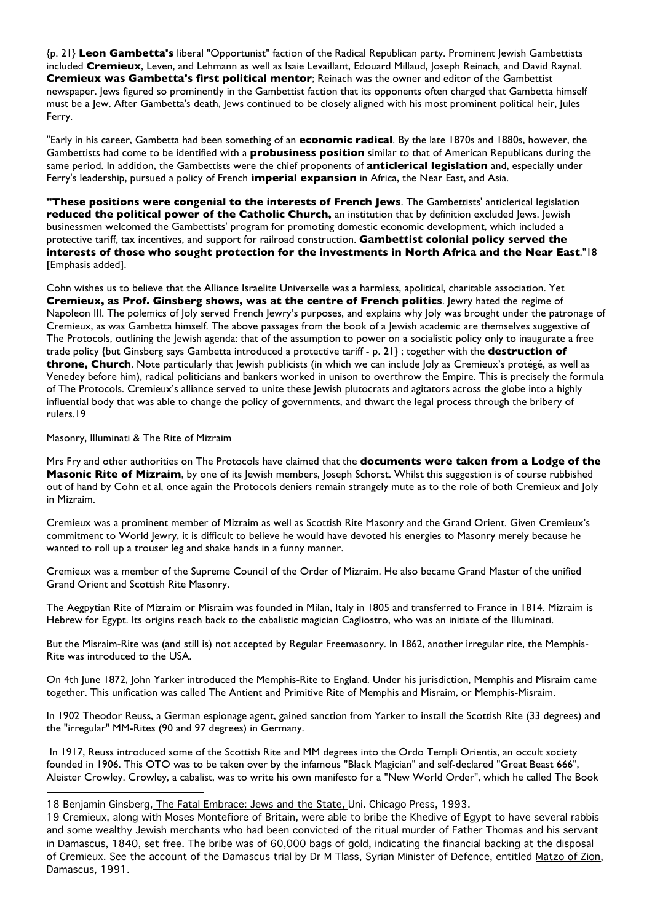{p. 21} **Leon Gambetta's** liberal "Opportunist" faction of the Radical Republican party. Prominent Jewish Gambettists included **Cremieux**, Leven, and Lehmann as well as Isaie Levaillant, Edouard Millaud, Joseph Reinach, and David Raynal. **Cremieux was Gambetta's first political mentor**; Reinach was the owner and editor of the Gambettist newspaper. Jews figured so prominently in the Gambettist faction that its opponents often charged that Gambetta himself must be a Jew. After Gambetta's death, Jews continued to be closely aligned with his most prominent political heir, Jules Ferry.

"Early in his career, Gambetta had been something of an **economic radical**. By the late 1870s and 1880s, however, the Gambettists had come to be identified with a **probusiness position** similar to that of American Republicans during the same period. In addition, the Gambettists were the chief proponents of **anticlerical legislation** and, especially under Ferry's leadership, pursued a policy of French **imperial expansion** in Africa, the Near East, and Asia.

**"These positions were congenial to the interests of French Jews**. The Gambettists' anticlerical legislation **reduced the political power of the Catholic Church,** an institution that by definition excluded Jews. Jewish businessmen welcomed the Gambettists' program for promoting domestic economic development, which included a protective tariff, tax incentives, and support for railroad construction. **Gambettist colonial policy served the interests of those who sought protection for the investments in North Africa and the Near East**."18 [Emphasis added].

Cohn wishes us to believe that the Alliance Israelite Universelle was a harmless, apolitical, charitable association. Yet **Cremieux, as Prof. Ginsberg shows, was at the centre of French politics**. Jewry hated the regime of Napoleon III. The polemics of Joly served French Jewry's purposes, and explains why Joly was brought under the patronage of Cremieux, as was Gambetta himself. The above passages from the book of a Jewish academic are themselves suggestive of The Protocols, outlining the Jewish agenda: that of the assumption to power on a socialistic policy only to inaugurate a free trade policy {but Ginsberg says Gambetta introduced a protective tariff - p. 21} ; together with the **destruction of**  throne, Church. Note particularly that Jewish publicists (in which we can include Joly as Cremieux's protégé, as well as Venedey before him), radical politicians and bankers worked in unison to overthrow the Empire. This is precisely the formula of The Protocols. Cremieux's alliance served to unite these Jewish plutocrats and agitators across the globe into a highly influential body that was able to change the policy of governments, and thwart the legal process through the bribery of rulers.19

Masonry, Illuminati & The Rite of Mizraim

l

Mrs Fry and other authorities on The Protocols have claimed that the **documents were taken from a Lodge of the Masonic Rite of Mizraim**, by one of its Jewish members, Joseph Schorst. Whilst this suggestion is of course rubbished out of hand by Cohn et al, once again the Protocols deniers remain strangely mute as to the role of both Cremieux and Joly in Mizraim.

Cremieux was a prominent member of Mizraim as well as Scottish Rite Masonry and the Grand Orient. Given Cremieux's commitment to World Jewry, it is difficult to believe he would have devoted his energies to Masonry merely because he wanted to roll up a trouser leg and shake hands in a funny manner.

Cremieux was a member of the Supreme Council of the Order of Mizraim. He also became Grand Master of the unified Grand Orient and Scottish Rite Masonry.

The Aegpytian Rite of Mizraim or Misraim was founded in Milan, Italy in 1805 and transferred to France in 1814. Mizraim is Hebrew for Egypt. Its origins reach back to the cabalistic magician Cagliostro, who was an initiate of the Illuminati.

But the Misraim-Rite was (and still is) not accepted by Regular Freemasonry. In 1862, another irregular rite, the Memphis-Rite was introduced to the USA.

On 4th June 1872, John Yarker introduced the Memphis-Rite to England. Under his jurisdiction, Memphis and Misraim came together. This unification was called The Antient and Primitive Rite of Memphis and Misraim, or Memphis-Misraim.

In 1902 Theodor Reuss, a German espionage agent, gained sanction from Yarker to install the Scottish Rite (33 degrees) and the "irregular" MM-Rites (90 and 97 degrees) in Germany.

In 1917, Reuss introduced some of the Scottish Rite and MM degrees into the Ordo Templi Orientis, an occult society founded in 1906. This OTO was to be taken over by the infamous "Black Magician" and self-declared "Great Beast 666", Aleister Crowley. Crowley, a cabalist, was to write his own manifesto for a "New World Order", which he called The Book

<sup>18</sup> Benjamin Ginsberg, The Fatal Embrace: Jews and the State, Uni. Chicago Press, 1993.

<sup>19</sup> Cremieux, along with Moses Montefiore of Britain, were able to bribe the Khedive of Egypt to have several rabbis and some wealthy Jewish merchants who had been convicted of the ritual murder of Father Thomas and his servant in Damascus, 1840, set free. The bribe was of 60,000 bags of gold, indicating the financial backing at the disposal of Cremieux. See the account of the Damascus trial by Dr M Tlass, Syrian Minister of Defence, entitled Matzo of Zion, Damascus, 1991.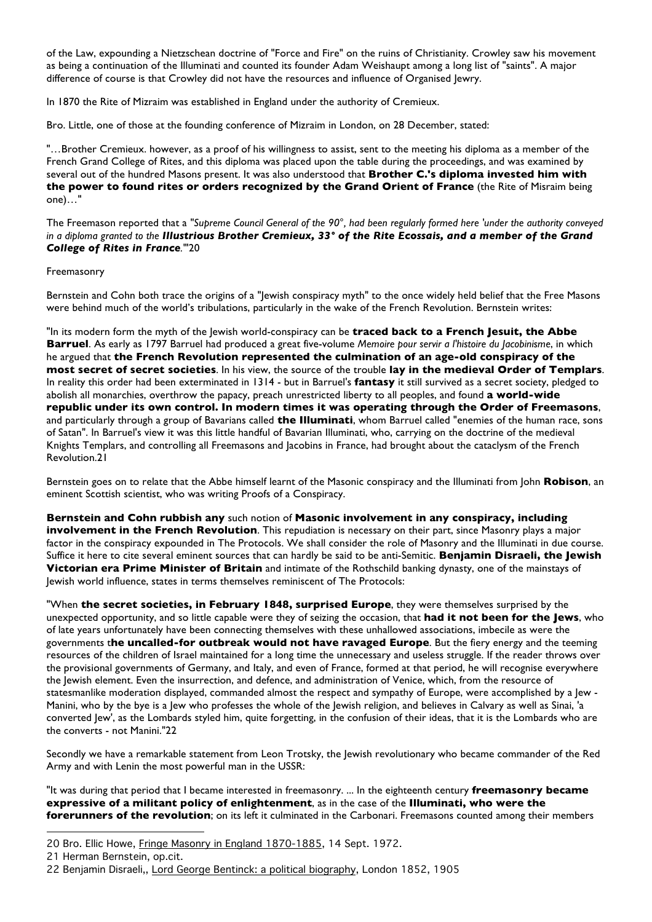of the Law, expounding a Nietzschean doctrine of "Force and Fire" on the ruins of Christianity. Crowley saw his movement as being a continuation of the Illuminati and counted its founder Adam Weishaupt among a long list of "saints". A major difference of course is that Crowley did not have the resources and influence of Organised Jewry.

In 1870 the Rite of Mizraim was established in England under the authority of Cremieux.

Bro. Little, one of those at the founding conference of Mizraim in London, on 28 December, stated:

"…Brother Cremieux. however, as a proof of his willingness to assist, sent to the meeting his diploma as a member of the French Grand College of Rites, and this diploma was placed upon the table during the proceedings, and was examined by several out of the hundred Masons present. It was also understood that **Brother C.'s diploma invested him with the power to found rites or orders recognized by the Grand Orient of France** (the Rite of Misraim being one)…"

The Freemason reported that a *"Supreme Council General of the 90°, had been regularly formed here 'under the authority conveyed in a diploma granted to the Illustrious Brother Cremieux, 33° of the Rite Ecossais, and a member of the Grand College of Rites in France.'*"20

### Freemasonry

Bernstein and Cohn both trace the origins of a "Jewish conspiracy myth" to the once widely held belief that the Free Masons were behind much of the world's tribulations, particularly in the wake of the French Revolution. Bernstein writes:

"In its modern form the myth of the Jewish world-conspiracy can be **traced back to a French Jesuit, the Abbe Barruel**. As early as 1797 Barruel had produced a great five-volume *Memoire pour servir a l'histoire du Jacobinisme*, in which he argued that **the French Revolution represented the culmination of an age-old conspiracy of the most secret of secret societies**. In his view, the source of the trouble **lay in the medieval Order of Templars**. In reality this order had been exterminated in 1314 - but in Barruel's **fantasy** it still survived as a secret society, pledged to abolish all monarchies, overthrow the papacy, preach unrestricted liberty to all peoples, and found **a world-wide republic under its own control. In modern times it was operating through the Order of Freemasons**, and particularly through a group of Bavarians called **the Illuminati**, whom Barruel called "enemies of the human race, sons of Satan". In Barruel's view it was this little handful of Bavarian Illuminati, who, carrying on the doctrine of the medieval Knights Templars, and controlling all Freemasons and Jacobins in France, had brought about the cataclysm of the French Revolution.21

Bernstein goes on to relate that the Abbe himself learnt of the Masonic conspiracy and the Illuminati from John **Robison**, an eminent Scottish scientist, who was writing Proofs of a Conspiracy.

**Bernstein and Cohn rubbish any** such notion of **Masonic involvement in any conspiracy, including involvement in the French Revolution**. This repudiation is necessary on their part, since Masonry plays a major factor in the conspiracy expounded in The Protocols. We shall consider the role of Masonry and the Illuminati in due course. Suffice it here to cite several eminent sources that can hardly be said to be anti-Semitic. **Benjamin Disraeli, the Jewish Victorian era Prime Minister of Britain** and intimate of the Rothschild banking dynasty, one of the mainstays of Jewish world influence, states in terms themselves reminiscent of The Protocols:

"When **the secret societies, in February 1848, surprised Europe**, they were themselves surprised by the unexpected opportunity, and so little capable were they of seizing the occasion, that **had it not been for the Jews**, who of late years unfortunately have been connecting themselves with these unhallowed associations, imbecile as were the governments t**he uncalled-for outbreak would not have ravaged Europe**. But the fiery energy and the teeming resources of the children of Israel maintained for a long time the unnecessary and useless struggle. If the reader throws over the provisional governments of Germany, and Italy, and even of France, formed at that period, he will recognise everywhere the Jewish element. Even the insurrection, and defence, and administration of Venice, which, from the resource of statesmanlike moderation displayed, commanded almost the respect and sympathy of Europe, were accomplished by a Jew - Manini, who by the bye is a Jew who professes the whole of the Jewish religion, and believes in Calvary as well as Sinai, 'a converted Jew', as the Lombards styled him, quite forgetting, in the confusion of their ideas, that it is the Lombards who are the converts - not Manini."22

Secondly we have a remarkable statement from Leon Trotsky, the Jewish revolutionary who became commander of the Red Army and with Lenin the most powerful man in the USSR:

"It was during that period that I became interested in freemasonry. ... In the eighteenth century **freemasonry became expressive of a militant policy of enlightenment**, as in the case of the **Illuminati, who were the forerunners of the revolution**; on its left it culminated in the Carbonari. Freemasons counted among their members

<sup>20</sup> Bro. Ellic Howe, Fringe Masonry in England 1870-1885, 14 Sept. 1972.

<sup>21</sup> Herman Bernstein, op.cit.

<sup>22</sup> Benjamin Disraeli,, Lord George Bentinck: a political biography, London 1852, 1905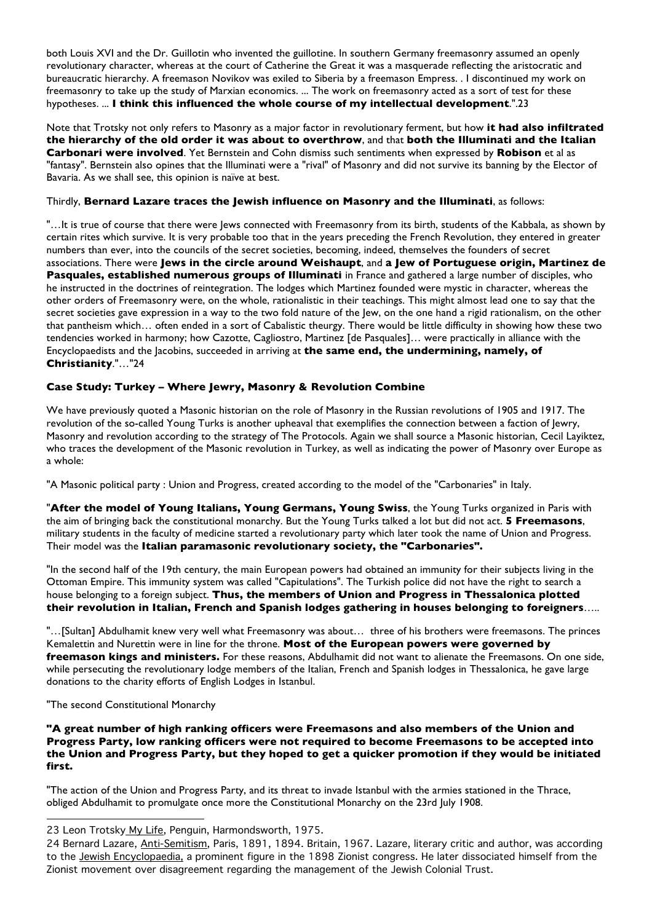both Louis XVI and the Dr. Guillotin who invented the guillotine. In southern Germany freemasonry assumed an openly revolutionary character, whereas at the court of Catherine the Great it was a masquerade reflecting the aristocratic and bureaucratic hierarchy. A freemason Novikov was exiled to Siberia by a freemason Empress. . I discontinued my work on freemasonry to take up the study of Marxian economics. ... The work on freemasonry acted as a sort of test for these hypotheses. ... **I think this influenced the whole course of my intellectual development**.".23

Note that Trotsky not only refers to Masonry as a major factor in revolutionary ferment, but how **it had also infiltrated the hierarchy of the old order it was about to overthrow**, and that **both the Illuminati and the Italian Carbonari were involved**. Yet Bernstein and Cohn dismiss such sentiments when expressed by **Robison** et al as "fantasy". Bernstein also opines that the Illuminati were a "rival" of Masonry and did not survive its banning by the Elector of Bavaria. As we shall see, this opinion is naïve at best.

### Thirdly, **Bernard Lazare traces the Jewish influence on Masonry and the Illuminati**, as follows:

"…It is true of course that there were Jews connected with Freemasonry from its birth, students of the Kabbala, as shown by certain rites which survive. It is very probable too that in the years preceding the French Revolution, they entered in greater numbers than ever, into the councils of the secret societies, becoming, indeed, themselves the founders of secret associations. There were **Jews in the circle around Weishaupt**, and **a Jew of Portuguese origin, Martinez de**  Pasquales, established numerous groups of Illuminati in France and gathered a large number of disciples, who he instructed in the doctrines of reintegration. The lodges which Martinez founded were mystic in character, whereas the other orders of Freemasonry were, on the whole, rationalistic in their teachings. This might almost lead one to say that the secret societies gave expression in a way to the two fold nature of the Jew, on the one hand a rigid rationalism, on the other that pantheism which… often ended in a sort of Cabalistic theurgy. There would be little difficulty in showing how these two tendencies worked in harmony; how Cazotte, Cagliostro, Martinez [de Pasquales]… were practically in alliance with the Encyclopaedists and the Jacobins, succeeded in arriving at **the same end, the undermining, namely, of Christianity**."…"24

## **Case Study: Turkey – Where Jewry, Masonry & Revolution Combine**

We have previously quoted a Masonic historian on the role of Masonry in the Russian revolutions of 1905 and 1917. The revolution of the so-called Young Turks is another upheaval that exemplifies the connection between a faction of Jewry, Masonry and revolution according to the strategy of The Protocols. Again we shall source a Masonic historian, Cecil Layiktez, who traces the development of the Masonic revolution in Turkey, as well as indicating the power of Masonry over Europe as a whole:

"A Masonic political party : Union and Progress, created according to the model of the "Carbonaries" in Italy.

"**After the model of Young Italians, Young Germans, Young Swiss**, the Young Turks organized in Paris with the aim of bringing back the constitutional monarchy. But the Young Turks talked a lot but did not act. **5 Freemasons**, military students in the faculty of medicine started a revolutionary party which later took the name of Union and Progress. Their model was the **Italian paramasonic revolutionary society, the "Carbonaries".**

"In the second half of the 19th century, the main European powers had obtained an immunity for their subjects living in the Ottoman Empire. This immunity system was called "Capitulations". The Turkish police did not have the right to search a house belonging to a foreign subject. **Thus, the members of Union and Progress in Thessalonica plotted their revolution in Italian, French and Spanish lodges gathering in houses belonging to foreigners**…..

"…[Sultan] Abdulhamit knew very well what Freemasonry was about… three of his brothers were freemasons. The princes Kemalettin and Nurettin were in line for the throne. **Most of the European powers were governed by freemason kings and ministers.** For these reasons, Abdulhamit did not want to alienate the Freemasons. On one side, while persecuting the revolutionary lodge members of the Italian, French and Spanish lodges in Thessalonica, he gave large donations to the charity efforts of English Lodges in Istanbul.

"The second Constitutional Monarchy

l

**"A great number of high ranking officers were Freemasons and also members of the Union and Progress Party, low ranking officers were not required to become Freemasons to be accepted into the Union and Progress Party, but they hoped to get a quicker promotion if they would be initiated first.**

"The action of the Union and Progress Party, and its threat to invade Istanbul with the armies stationed in the Thrace, obliged Abdulhamit to promulgate once more the Constitutional Monarchy on the 23rd July 1908.

<sup>23</sup> Leon Trotsky My Life, Penguin, Harmondsworth, 1975.

<sup>24</sup> Bernard Lazare, Anti-Semitism, Paris, 1891, 1894. Britain, 1967. Lazare, literary critic and author, was according to the Jewish Encyclopaedia, a prominent figure in the 1898 Zionist congress. He later dissociated himself from the Zionist movement over disagreement regarding the management of the Jewish Colonial Trust.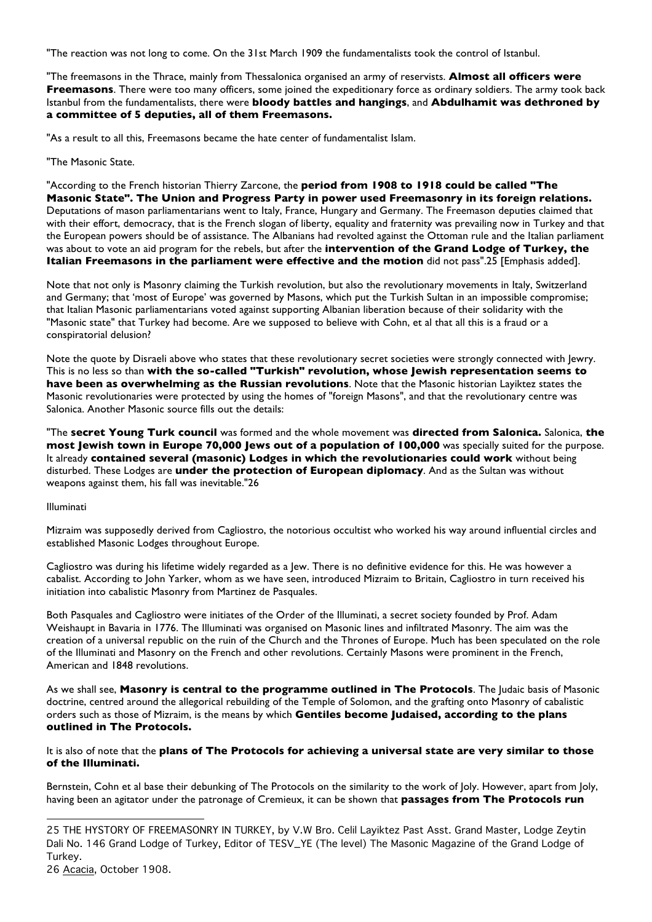"The reaction was not long to come. On the 31st March 1909 the fundamentalists took the control of Istanbul.

"The freemasons in the Thrace, mainly from Thessalonica organised an army of reservists. **Almost all officers were Freemasons**. There were too many officers, some joined the expeditionary force as ordinary soldiers. The army took back Istanbul from the fundamentalists, there were **bloody battles and hangings**, and **Abdulhamit was dethroned by a committee of 5 deputies, all of them Freemasons.**

"As a result to all this, Freemasons became the hate center of fundamentalist Islam.

"The Masonic State.

"According to the French historian Thierry Zarcone, the **period from 1908 to 1918 could be called "The Masonic State". The Union and Progress Party in power used Freemasonry in its foreign relations.** Deputations of mason parliamentarians went to Italy, France, Hungary and Germany. The Freemason deputies claimed that with their effort, democracy, that is the French slogan of liberty, equality and fraternity was prevailing now in Turkey and that the European powers should be of assistance. The Albanians had revolted against the Ottoman rule and the Italian parliament was about to vote an aid program for the rebels, but after the **intervention of the Grand Lodge of Turkey, the Italian Freemasons in the parliament were effective and the motion** did not pass".25 [Emphasis added].

Note that not only is Masonry claiming the Turkish revolution, but also the revolutionary movements in Italy, Switzerland and Germany; that 'most of Europe' was governed by Masons, which put the Turkish Sultan in an impossible compromise; that Italian Masonic parliamentarians voted against supporting Albanian liberation because of their solidarity with the "Masonic state" that Turkey had become. Are we supposed to believe with Cohn, et al that all this is a fraud or a conspiratorial delusion?

Note the quote by Disraeli above who states that these revolutionary secret societies were strongly connected with Jewry. This is no less so than **with the so-called "Turkish" revolution, whose Jewish representation seems to have been as overwhelming as the Russian revolutions**. Note that the Masonic historian Layiktez states the Masonic revolutionaries were protected by using the homes of "foreign Masons", and that the revolutionary centre was Salonica. Another Masonic source fills out the details:

"The **secret Young Turk council** was formed and the whole movement was **directed from Salonica.** Salonica, **the most Jewish town in Europe 70,000 Jews out of a population of 100,000** was specially suited for the purpose. It already **contained several (masonic) Lodges in which the revolutionaries could work** without being disturbed. These Lodges are **under the protection of European diplomacy**. And as the Sultan was without weapons against them, his fall was inevitable."26

### Illuminati

Mizraim was supposedly derived from Cagliostro, the notorious occultist who worked his way around influential circles and established Masonic Lodges throughout Europe.

Cagliostro was during his lifetime widely regarded as a Jew. There is no definitive evidence for this. He was however a cabalist. According to John Yarker, whom as we have seen, introduced Mizraim to Britain, Cagliostro in turn received his initiation into cabalistic Masonry from Martinez de Pasquales.

Both Pasquales and Cagliostro were initiates of the Order of the Illuminati, a secret society founded by Prof. Adam Weishaupt in Bavaria in 1776. The Illuminati was organised on Masonic lines and infiltrated Masonry. The aim was the creation of a universal republic on the ruin of the Church and the Thrones of Europe. Much has been speculated on the role of the Illuminati and Masonry on the French and other revolutions. Certainly Masons were prominent in the French, American and 1848 revolutions.

As we shall see, **Masonry is central to the programme outlined in The Protocols**. The Judaic basis of Masonic doctrine, centred around the allegorical rebuilding of the Temple of Solomon, and the grafting onto Masonry of cabalistic orders such as those of Mizraim, is the means by which **Gentiles become Judaised, according to the plans outlined in The Protocols.** 

### It is also of note that the **plans of The Protocols for achieving a universal state are very similar to those of the Illuminati.**

Bernstein, Cohn et al base their debunking of The Protocols on the similarity to the work of Joly. However, apart from Joly, having been an agitator under the patronage of Cremieux, it can be shown that **passages from The Protocols run** 

26 Acacia, October 1908.

<sup>25</sup> THE HYSTORY OF FREEMASONRY IN TURKEY, by V.W Bro. Celil Layiktez Past Asst. Grand Master, Lodge Zeytin Dali No. 146 Grand Lodge of Turkey, Editor of TESV\_YE (The level) The Masonic Magazine of the Grand Lodge of Turkey.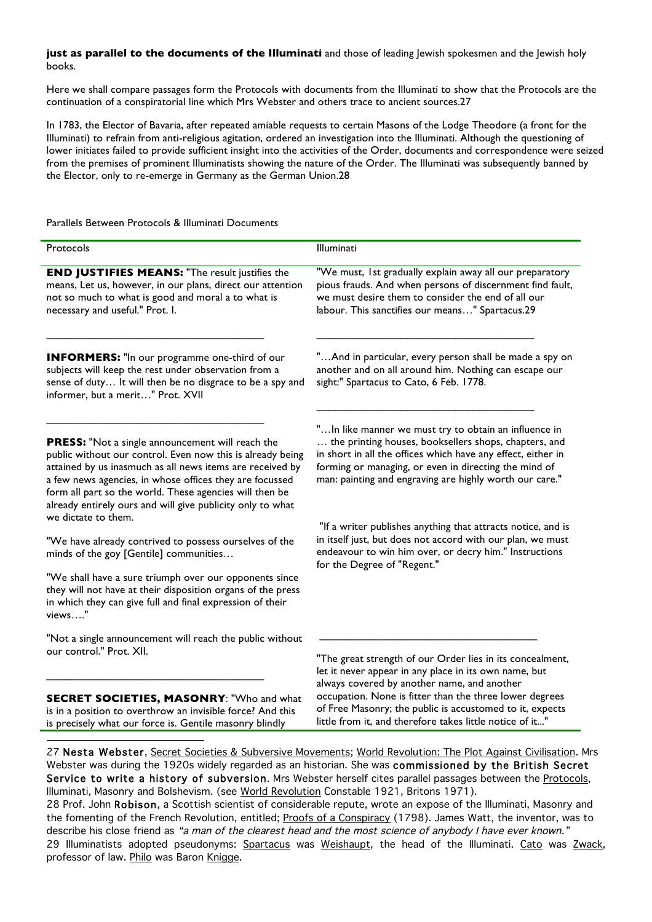**just as parallel to the documents of the Illuminati** and those of leading Jewish spokesmen and the Jewish holy books.

Here we shall compare passages form the Protocols with documents from the Illuminati to show that the Protocols are the continuation of a conspiratorial line which Mrs Webster and others trace to ancient sources.27

In 1783, the Elector of Bavaria, after repeated amiable requests to certain Masons of the Lodge Theodore (a front for the Illuminati) to refrain from anti-religious agitation, ordered an investigation into the Illuminati. Although the questioning of lower initiates failed to provide sufficient insight into the activities of the Order, documents and correspondence were seized from the premises of prominent Illuminatists showing the nature of the Order. The Illuminati was subsequently banned by the Elector, only to re-emerge in Germany as the German Union.28

### Parallels Between Protocols & Illuminati Documents

| Protocols                                                                                                                                                                                                                                                                                                                                                              | Illuminati                                                                                                                                                                                                                                                                                          |
|------------------------------------------------------------------------------------------------------------------------------------------------------------------------------------------------------------------------------------------------------------------------------------------------------------------------------------------------------------------------|-----------------------------------------------------------------------------------------------------------------------------------------------------------------------------------------------------------------------------------------------------------------------------------------------------|
| <b>END JUSTIFIES MEANS:</b> "The result justifies the<br>means, Let us, however, in our plans, direct our attention<br>not so much to what is good and moral a to what is<br>necessary and useful." Prot. I.                                                                                                                                                           | "We must, 1st gradually explain away all our preparatory<br>pious frauds. And when persons of discernment find fault,<br>we must desire them to consider the end of all our<br>labour. This sanctifies our means" Spartacus.29                                                                      |
| <b>INFORMERS:</b> "In our programme one-third of our<br>subjects will keep the rest under observation from a<br>sense of duty It will then be no disgrace to be a spy and<br>informer, but a merit" Prot. XVII                                                                                                                                                         | "And in particular, every person shall be made a spy on<br>another and on all around him. Nothing can escape our<br>sight:" Spartacus to Cato, 6 Feb. 1778.                                                                                                                                         |
| <b>PRESS:</b> "Not a single announcement will reach the<br>public without our control. Even now this is already being<br>attained by us inasmuch as all news items are received by<br>a few news agencies, in whose offices they are focussed<br>form all part so the world. These agencies will then be<br>already entirely ours and will give publicity only to what | " In like manner we must try to obtain an influence in<br>the printing houses, booksellers shops, chapters, and<br>in short in all the offices which have any effect, either in<br>forming or managing, or even in directing the mind of<br>man: painting and engraving are highly worth our care." |
| we dictate to them.<br>"We have already contrived to possess ourselves of the<br>minds of the goy [Gentile] communities                                                                                                                                                                                                                                                | "If a writer publishes anything that attracts notice, and is<br>in itself just, but does not accord with our plan, we must<br>endeavour to win him over, or decry him." Instructions<br>for the Degree of "Regent."                                                                                 |
| "We shall have a sure triumph over our opponents since<br>they will not have at their disposition organs of the press<br>in which they can give full and final expression of their<br>views"                                                                                                                                                                           |                                                                                                                                                                                                                                                                                                     |
| "Not a single announcement will reach the public without<br>our control." Prot. XII.                                                                                                                                                                                                                                                                                   | "The great strength of our Order lies in its concealment,<br>let it never appear in any place in its own name, but                                                                                                                                                                                  |
| <b>SECRET SOCIETIES, MASONRY: "Who and what</b><br>is in a position to overthrow an invisible force? And this<br>is precisely what our force is. Gentile masonry blindly                                                                                                                                                                                               | always covered by another name, and another<br>occupation. None is fitter than the three lower degrees<br>of Free Masonry; the public is accustomed to it, expects<br>little from it, and therefore takes little notice of it"                                                                      |

27 Nesta Webster, Secret Societies & Subversive Movements; World Revolution: The Plot Against Civilisation. Mrs Webster was during the 1920s widely regarded as an historian. She was commissioned by the British Secret Service to write a history of subversion. Mrs Webster herself cites parallel passages between the Protocols, Illuminati, Masonry and Bolshevism. (see World Revolution Constable 1921, Britons 1971).

28 Prof. John Robison, a Scottish scientist of considerable repute, wrote an expose of the Illuminati, Masonry and the fomenting of the French Revolution, entitled; Proofs of a Conspiracy (1798). James Watt, the inventor, was to describe his close friend as "a man of the clearest head and the most science of anybody I have ever known." 29 Illuminatists adopted pseudonyms: Spartacus was Weishaupt, the head of the Illuminati. Cato was Zwack, professor of law. Philo was Baron Knigge.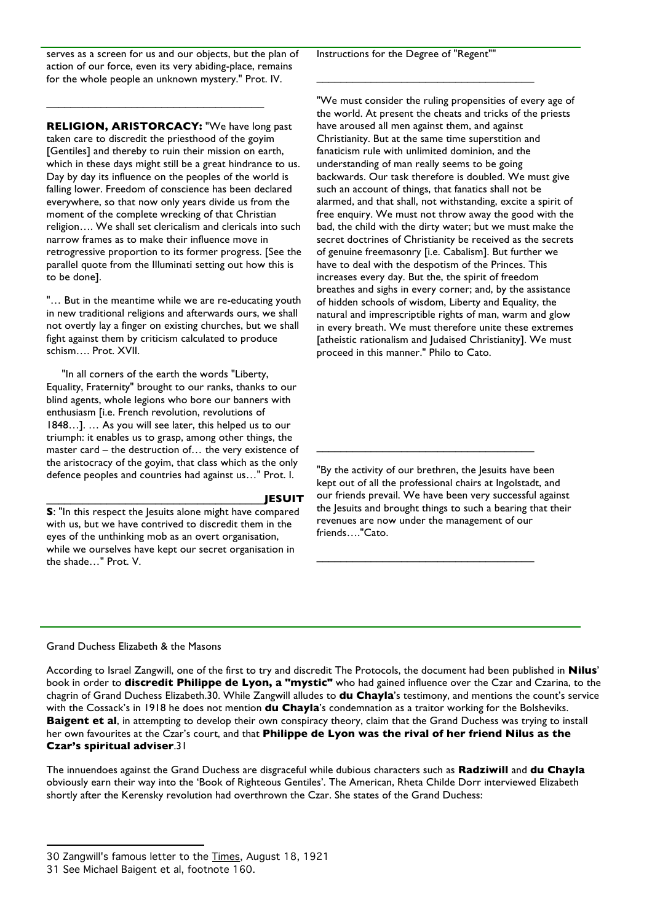serves as a screen for us and our objects, but the plan of action of our force, even its very abiding-place, remains for the whole people an unknown mystery." Prot. IV.

 $\mathcal{L}_\mathcal{L}$  , which is a set of the set of the set of the set of the set of the set of the set of the set of the set of the set of the set of the set of the set of the set of the set of the set of the set of the set of

**RELIGION, ARISTORCACY:** "We have long past taken care to discredit the priesthood of the goyim [Gentiles] and thereby to ruin their mission on earth, which in these days might still be a great hindrance to us. Day by day its influence on the peoples of the world is falling lower. Freedom of conscience has been declared everywhere, so that now only years divide us from the moment of the complete wrecking of that Christian religion…. We shall set clericalism and clericals into such narrow frames as to make their influence move in retrogressive proportion to its former progress. [See the parallel quote from the Illuminati setting out how this is to be done].

"… But in the meantime while we are re-educating youth in new traditional religions and afterwards ours, we shall not overtly lay a finger on existing churches, but we shall fight against them by criticism calculated to produce schism…. Prot. XVII.

 "In all corners of the earth the words "Liberty, Equality, Fraternity" brought to our ranks, thanks to our blind agents, whole legions who bore our banners with enthusiasm [i.e. French revolution, revolutions of 1848…]. … As you will see later, this helped us to our triumph: it enables us to grasp, among other things, the master card – the destruction of… the very existence of the aristocracy of the goyim, that class which as the only defence peoples and countries had against us…" Prot. I.

\_\_\_\_\_\_\_\_\_\_\_\_\_\_\_\_\_\_\_\_\_\_\_\_\_\_\_\_\_\_\_\_\_\_\_\_**JESUIT**

**S**: "In this respect the Jesuits alone might have compared with us, but we have contrived to discredit them in the eyes of the unthinking mob as an overt organisation, while we ourselves have kept our secret organisation in the shade…" Prot. V.

Instructions for the Degree of "Regent""

"We must consider the ruling propensities of every age of the world. At present the cheats and tricks of the priests have aroused all men against them, and against Christianity. But at the same time superstition and fanaticism rule with unlimited dominion, and the understanding of man really seems to be going backwards. Our task therefore is doubled. We must give such an account of things, that fanatics shall not be alarmed, and that shall, not withstanding, excite a spirit of free enquiry. We must not throw away the good with the bad, the child with the dirty water; but we must make the secret doctrines of Christianity be received as the secrets of genuine freemasonry [i.e. Cabalism]. But further we have to deal with the despotism of the Princes. This increases every day. But the, the spirit of freedom breathes and sighs in every corner; and, by the assistance of hidden schools of wisdom, Liberty and Equality, the natural and imprescriptible rights of man, warm and glow in every breath. We must therefore unite these extremes [atheistic rationalism and Judaised Christianity]. We must proceed in this manner." Philo to Cato.

"By the activity of our brethren, the Jesuits have been kept out of all the professional chairs at Ingolstadt, and our friends prevail. We have been very successful against the Jesuits and brought things to such a bearing that their revenues are now under the management of our friends…."Cato.

\_\_\_\_\_\_\_\_\_\_\_\_\_\_\_\_\_\_\_\_\_\_\_\_\_\_\_\_\_\_\_\_\_\_\_\_

 $\_$  , and the set of the set of the set of the set of the set of the set of the set of the set of the set of the set of the set of the set of the set of the set of the set of the set of the set of the set of the set of th

### Grand Duchess Elizabeth & the Masons

According to Israel Zangwill, one of the first to try and discredit The Protocols, the document had been published in **Nilus**' book in order to **discredit Philippe de Lyon, a "mystic"** who had gained influence over the Czar and Czarina, to the chagrin of Grand Duchess Elizabeth.30. While Zangwill alludes to **du Chayla**'s testimony, and mentions the count's service with the Cossack's in 1918 he does not mention **du Chayla**'s condemnation as a traitor working for the Bolsheviks. **Baigent et al**, in attempting to develop their own conspiracy theory, claim that the Grand Duchess was trying to install her own favourites at the Czar's court, and that **Philippe de Lyon was the rival of her friend Nilus as the Czar's spiritual adviser**.31

The innuendoes against the Grand Duchess are disgraceful while dubious characters such as **Radziwill** and **du Chayla** obviously earn their way into the 'Book of Righteous Gentiles'. The American, Rheta Childe Dorr interviewed Elizabeth shortly after the Kerensky revolution had overthrown the Czar. She states of the Grand Duchess:

<sup>30</sup> Zangwill's famous letter to the Times, August 18, 1921

<sup>31</sup> See Michael Baigent et al, footnote 160.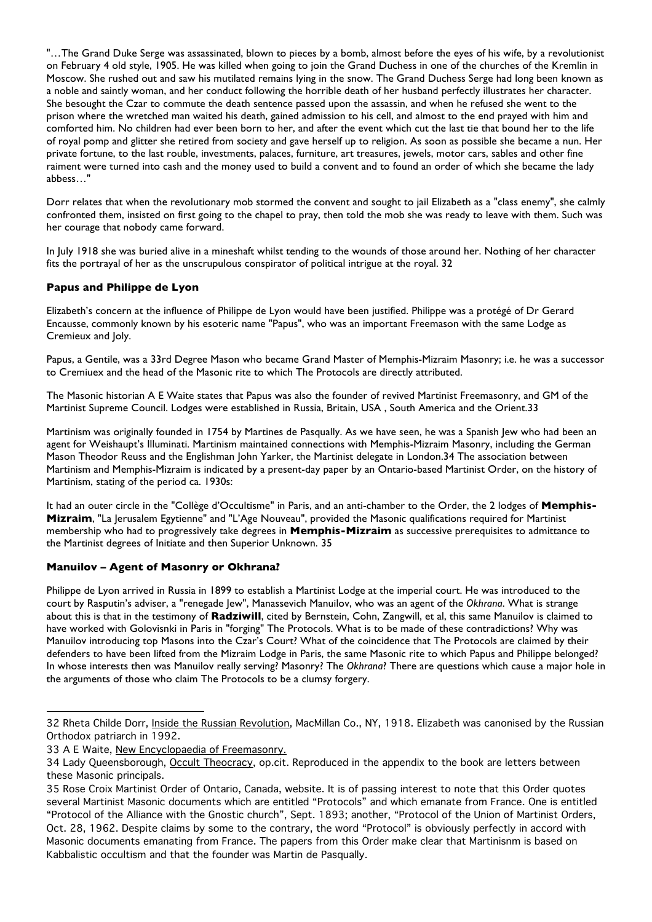"…The Grand Duke Serge was assassinated, blown to pieces by a bomb, almost before the eyes of his wife, by a revolutionist on February 4 old style, 1905. He was killed when going to join the Grand Duchess in one of the churches of the Kremlin in Moscow. She rushed out and saw his mutilated remains lying in the snow. The Grand Duchess Serge had long been known as a noble and saintly woman, and her conduct following the horrible death of her husband perfectly illustrates her character. She besought the Czar to commute the death sentence passed upon the assassin, and when he refused she went to the prison where the wretched man waited his death, gained admission to his cell, and almost to the end prayed with him and comforted him. No children had ever been born to her, and after the event which cut the last tie that bound her to the life of royal pomp and glitter she retired from society and gave herself up to religion. As soon as possible she became a nun. Her private fortune, to the last rouble, investments, palaces, furniture, art treasures, jewels, motor cars, sables and other fine raiment were turned into cash and the money used to build a convent and to found an order of which she became the lady abbess…"

Dorr relates that when the revolutionary mob stormed the convent and sought to jail Elizabeth as a "class enemy", she calmly confronted them, insisted on first going to the chapel to pray, then told the mob she was ready to leave with them. Such was her courage that nobody came forward.

In July 1918 she was buried alive in a mineshaft whilst tending to the wounds of those around her. Nothing of her character fits the portrayal of her as the unscrupulous conspirator of political intrigue at the royal. 32

## **Papus and Philippe de Lyon**

Elizabeth's concern at the influence of Philippe de Lyon would have been justified. Philippe was a protégé of Dr Gerard Encausse, commonly known by his esoteric name "Papus", who was an important Freemason with the same Lodge as Cremieux and Joly.

Papus, a Gentile, was a 33rd Degree Mason who became Grand Master of Memphis-Mizraim Masonry; i.e. he was a successor to Cremiuex and the head of the Masonic rite to which The Protocols are directly attributed.

The Masonic historian A E Waite states that Papus was also the founder of revived Martinist Freemasonry, and GM of the Martinist Supreme Council. Lodges were established in Russia, Britain, USA , South America and the Orient.33

Martinism was originally founded in 1754 by Martines de Pasqually. As we have seen, he was a Spanish Jew who had been an agent for Weishaupt's Illuminati. Martinism maintained connections with Memphis-Mizraim Masonry, including the German Mason Theodor Reuss and the Englishman John Yarker, the Martinist delegate in London.34 The association between Martinism and Memphis-Mizraim is indicated by a present-day paper by an Ontario-based Martinist Order, on the history of Martinism, stating of the period ca. 1930s:

It had an outer circle in the "Collège d'Occultisme" in Paris, and an anti-chamber to the Order, the 2 lodges of **Memphis-Mizraim**, "La Jerusalem Egytienne" and "L'Age Nouveau", provided the Masonic qualifications required for Martinist membership who had to progressively take degrees in **Memphis-Mizraim** as successive prerequisites to admittance to the Martinist degrees of Initiate and then Superior Unknown. 35

## **Manuilov – Agent of Masonry or Okhrana?**

Philippe de Lyon arrived in Russia in 1899 to establish a Martinist Lodge at the imperial court. He was introduced to the court by Rasputin's adviser, a "renegade Jew", Manassevich Manuilov, who was an agent of the *Okhrana*. What is strange about this is that in the testimony of **Radziwill**, cited by Bernstein, Cohn, Zangwill, et al, this same Manuilov is claimed to have worked with Golovisnki in Paris in "forging" The Protocols. What is to be made of these contradictions? Why was Manuilov introducing top Masons into the Czar's Court? What of the coincidence that The Protocols are claimed by their defenders to have been lifted from the Mizraim Lodge in Paris, the same Masonic rite to which Papus and Philippe belonged? In whose interests then was Manuilov really serving? Masonry? The *Okhrana*? There are questions which cause a major hole in the arguments of those who claim The Protocols to be a clumsy forgery.

<sup>32</sup> Rheta Childe Dorr, Inside the Russian Revolution, MacMillan Co., NY, 1918. Elizabeth was canonised by the Russian Orthodox patriarch in 1992.

<sup>33</sup> A E Waite, New Encyclopaedia of Freemasonry.

<sup>34</sup> Lady Queensborough, Occult Theocracy, op.cit. Reproduced in the appendix to the book are letters between these Masonic principals.

<sup>35</sup> Rose Croix Martinist Order of Ontario, Canada, website. It is of passing interest to note that this Order quotes several Martinist Masonic documents which are entitled "Protocols" and which emanate from France. One is entitled "Protocol of the Alliance with the Gnostic church", Sept. 1893; another, "Protocol of the Union of Martinist Orders, Oct. 28, 1962. Despite claims by some to the contrary, the word "Protocol" is obviously perfectly in accord with Masonic documents emanating from France. The papers from this Order make clear that Martinisnm is based on Kabbalistic occultism and that the founder was Martin de Pasqually.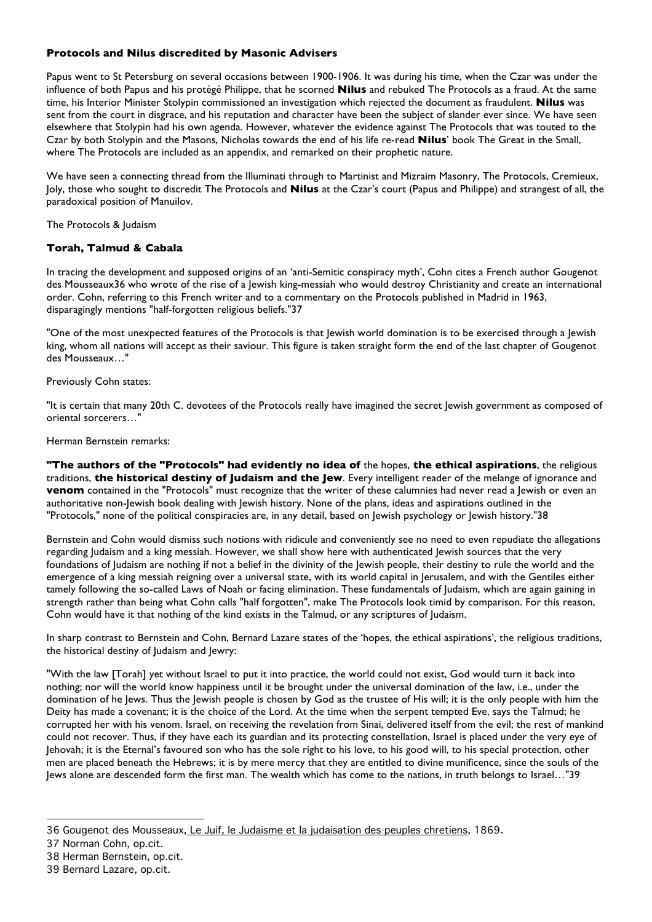### **Protocols and Nilus discredited by Masonic Advisers**

Papus went to St Petersburg on several occasions between 1900-1906. It was during his time, when the Czar was under the influence of both Papus and his protégé Philippe, that he scorned **Nilus** and rebuked The Protocols as a fraud. At the same time, his Interior Minister Stolypin commissioned an investigation which rejected the document as fraudulent. **Nilus** was sent from the court in disgrace, and his reputation and character have been the subject of slander ever since. We have seen elsewhere that Stolypin had his own agenda. However, whatever the evidence against The Protocols that was touted to the Czar by both Stolypin and the Masons, Nicholas towards the end of his life re-read **Nilus**' book The Great in the Small, where The Protocols are included as an appendix, and remarked on their prophetic nature.

We have seen a connecting thread from the Illuminati through to Martinist and Mizraim Masonry, The Protocols, Cremieux, Joly, those who sought to discredit The Protocols and **Nilus** at the Czar's court (Papus and Philippe) and strangest of all, the paradoxical position of Manuilov.

The Protocols & Judaism

### **Torah, Talmud & Cabala**

In tracing the development and supposed origins of an 'anti-Semitic conspiracy myth', Cohn cites a French author Gougenot des Mousseaux36 who wrote of the rise of a Jewish king-messiah who would destroy Christianity and create an international order. Cohn, referring to this French writer and to a commentary on the Protocols published in Madrid in 1963, disparagingly mentions "half-forgotten religious beliefs."37

"One of the most unexpected features of the Protocols is that Jewish world domination is to be exercised through a Jewish king, whom all nations will accept as their saviour. This figure is taken straight form the end of the last chapter of Gougenot des Mousseaux…"

### Previously Cohn states:

"It is certain that many 20th C. devotees of the Protocols really have imagined the secret Jewish government as composed of oriental sorcerers…"

### Herman Bernstein remarks:

**"The authors of the "Protocols" had evidently no idea of** the hopes, **the ethical aspirations**, the religious traditions, **the historical destiny of Judaism and the Jew**. Every intelligent reader of the melange of ignorance and **venom** contained in the "Protocols" must recognize that the writer of these calumnies had never read a Jewish or even an authoritative non-Jewish book dealing with Jewish history. None of the plans, ideas and aspirations outlined in the "Protocols," none of the political conspiracies are, in any detail, based on Jewish psychology or Jewish history."38

Bernstein and Cohn would dismiss such notions with ridicule and conveniently see no need to even repudiate the allegations regarding Judaism and a king messiah. However, we shall show here with authenticated Jewish sources that the very foundations of Judaism are nothing if not a belief in the divinity of the Jewish people, their destiny to rule the world and the emergence of a king messiah reigning over a universal state, with its world capital in Jerusalem, and with the Gentiles either tamely following the so-called Laws of Noah or facing elimination. These fundamentals of Judaism, which are again gaining in strength rather than being what Cohn calls "half forgotten", make The Protocols look timid by comparison. For this reason, Cohn would have it that nothing of the kind exists in the Talmud, or any scriptures of Judaism.

In sharp contrast to Bernstein and Cohn, Bernard Lazare states of the 'hopes, the ethical aspirations', the religious traditions, the historical destiny of Judaism and Jewry:

"With the law [Torah] yet without Israel to put it into practice, the world could not exist, God would turn it back into nothing; nor will the world know happiness until it be brought under the universal domination of the law, i.e., under the domination of he Jews. Thus the Jewish people is chosen by God as the trustee of His will; it is the only people with him the Deity has made a covenant; it is the choice of the Lord. At the time when the serpent tempted Eve, says the Talmud; he corrupted her with his venom. Israel, on receiving the revelation from Sinai, delivered itself from the evil; the rest of mankind could not recover. Thus, if they have each its guardian and its protecting constellation, Israel is placed under the very eye of Jehovah; it is the Eternal's favoured son who has the sole right to his love, to his good will, to his special protection, other men are placed beneath the Hebrews; it is by mere mercy that they are entitled to divine munificence, since the souls of the Jews alone are descended form the first man. The wealth which has come to the nations, in truth belongs to Israel…"39

<sup>36</sup> Gougenot des Mousseaux, Le Juif, le Judaisme et la judaisation des peuples chretiens, 1869.

<sup>37</sup> Norman Cohn, op.cit.

<sup>38</sup> Herman Bernstein, op.cit.

<sup>39</sup> Bernard Lazare, op.cit.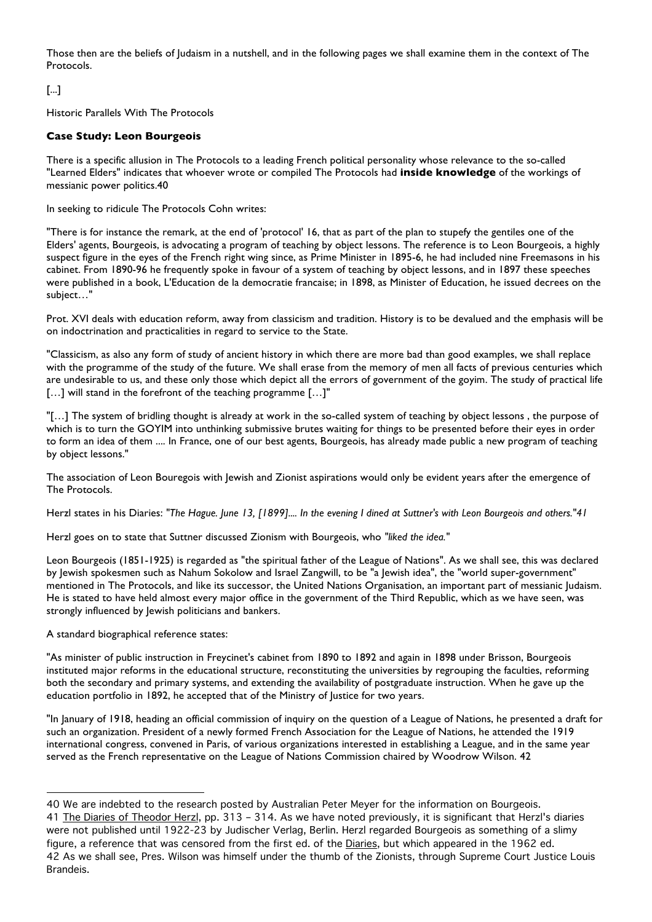Those then are the beliefs of Judaism in a nutshell, and in the following pages we shall examine them in the context of The Protocols.

[...]

Historic Parallels With The Protocols

## **Case Study: Leon Bourgeois**

There is a specific allusion in The Protocols to a leading French political personality whose relevance to the so-called "Learned Elders" indicates that whoever wrote or compiled The Protocols had **inside knowledge** of the workings of messianic power politics.40

In seeking to ridicule The Protocols Cohn writes:

"There is for instance the remark, at the end of 'protocol' 16, that as part of the plan to stupefy the gentiles one of the Elders' agents, Bourgeois, is advocating a program of teaching by object lessons. The reference is to Leon Bourgeois, a highly suspect figure in the eyes of the French right wing since, as Prime Minister in 1895-6, he had included nine Freemasons in his cabinet. From 1890-96 he frequently spoke in favour of a system of teaching by object lessons, and in 1897 these speeches were published in a book, L'Education de la democratie francaise; in 1898, as Minister of Education, he issued decrees on the subject…"

Prot. XVI deals with education reform, away from classicism and tradition. History is to be devalued and the emphasis will be on indoctrination and practicalities in regard to service to the State.

"Classicism, as also any form of study of ancient history in which there are more bad than good examples, we shall replace with the programme of the study of the future. We shall erase from the memory of men all facts of previous centuries which are undesirable to us, and these only those which depict all the errors of government of the goyim. The study of practical life [...] will stand in the forefront of the teaching programme  $[...]$ "

"[…] The system of bridling thought is already at work in the so-called system of teaching by object lessons , the purpose of which is to turn the GOYIM into unthinking submissive brutes waiting for things to be presented before their eyes in order to form an idea of them .... In France, one of our best agents, Bourgeois, has already made public a new program of teaching by object lessons."

The association of Leon Bouregois with Jewish and Zionist aspirations would only be evident years after the emergence of The Protocols.

Herzl states in his Diaries: *"The Hague. June 13, [1899].... In the evening I dined at Suttner's with Leon Bourgeois and others."41*

Herzl goes on to state that Suttner discussed Zionism with Bourgeois, who *"liked the idea."*

Leon Bourgeois (1851-1925) is regarded as "the spiritual father of the League of Nations". As we shall see, this was declared by Jewish spokesmen such as Nahum Sokolow and Israel Zangwill, to be "a Jewish idea", the "world super-government" mentioned in The Protocols, and like its successor, the United Nations Organisation, an important part of messianic Judaism. He is stated to have held almost every major office in the government of the Third Republic, which as we have seen, was strongly influenced by Jewish politicians and bankers.

A standard biographical reference states:

l

"As minister of public instruction in Freycinet's cabinet from 1890 to 1892 and again in 1898 under Brisson, Bourgeois instituted major reforms in the educational structure, reconstituting the universities by regrouping the faculties, reforming both the secondary and primary systems, and extending the availability of postgraduate instruction. When he gave up the education portfolio in 1892, he accepted that of the Ministry of Justice for two years.

"In January of 1918, heading an official commission of inquiry on the question of a League of Nations, he presented a draft for such an organization. President of a newly formed French Association for the League of Nations, he attended the 1919 international congress, convened in Paris, of various organizations interested in establishing a League, and in the same year served as the French representative on the League of Nations Commission chaired by Woodrow Wilson. 42

<sup>40</sup> We are indebted to the research posted by Australian Peter Meyer for the information on Bourgeois. 41 The Diaries of Theodor Herzl, pp. 313 – 314. As we have noted previously, it is significant that Herzl's diaries were not published until 1922-23 by Judischer Verlag, Berlin. Herzl regarded Bourgeois as something of a slimy figure, a reference that was censored from the first ed. of the Diaries, but which appeared in the 1962 ed. 42 As we shall see, Pres. Wilson was himself under the thumb of the Zionists, through Supreme Court Justice Louis Brandeis.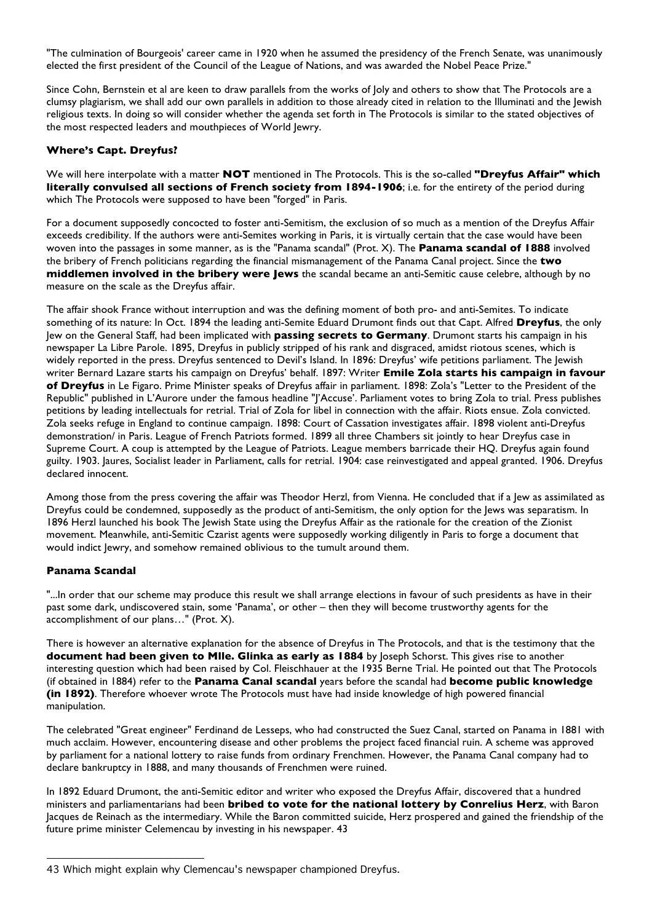"The culmination of Bourgeois' career came in 1920 when he assumed the presidency of the French Senate, was unanimously elected the first president of the Council of the League of Nations, and was awarded the Nobel Peace Prize."

Since Cohn, Bernstein et al are keen to draw parallels from the works of Joly and others to show that The Protocols are a clumsy plagiarism, we shall add our own parallels in addition to those already cited in relation to the Illuminati and the Jewish religious texts. In doing so will consider whether the agenda set forth in The Protocols is similar to the stated objectives of the most respected leaders and mouthpieces of World Jewry.

## **Where's Capt. Dreyfus?**

We will here interpolate with a matter **NOT** mentioned in The Protocols. This is the so-called **"Dreyfus Affair" which literally convulsed all sections of French society from 1894-1906; i.e. for the entirety of the period during** which The Protocols were supposed to have been "forged" in Paris.

For a document supposedly concocted to foster anti-Semitism, the exclusion of so much as a mention of the Dreyfus Affair exceeds credibility. If the authors were anti-Semites working in Paris, it is virtually certain that the case would have been woven into the passages in some manner, as is the "Panama scandal" (Prot. X). The **Panama scandal of 1888** involved the bribery of French politicians regarding the financial mismanagement of the Panama Canal project. Since the **two middlemen involved in the bribery were Jews** the scandal became an anti-Semitic cause celebre, although by no measure on the scale as the Dreyfus affair.

The affair shook France without interruption and was the defining moment of both pro- and anti-Semites. To indicate something of its nature: In Oct. 1894 the leading anti-Semite Eduard Drumont finds out that Capt. Alfred **Dreyfus**, the only Jew on the General Staff, had been implicated with **passing secrets to Germany**. Drumont starts his campaign in his newspaper La Libre Parole. 1895, Dreyfus in publicly stripped of his rank and disgraced, amidst riotous scenes, which is widely reported in the press. Dreyfus sentenced to Devil's Island. In 1896: Dreyfus' wife petitions parliament. The Jewish writer Bernard Lazare starts his campaign on Dreyfus' behalf. 1897: Writer **Emile Zola starts his campaign in favour of Dreyfus** in Le Figaro. Prime Minister speaks of Dreyfus affair in parliament. 1898: Zola's "Letter to the President of the Republic" published in L'Aurore under the famous headline "J'Accuse'. Parliament votes to bring Zola to trial. Press publishes petitions by leading intellectuals for retrial. Trial of Zola for libel in connection with the affair. Riots ensue. Zola convicted. Zola seeks refuge in England to continue campaign. 1898: Court of Cassation investigates affair. 1898 violent anti-Dreyfus demonstration/ in Paris. League of French Patriots formed. 1899 all three Chambers sit jointly to hear Dreyfus case in Supreme Court. A coup is attempted by the League of Patriots. League members barricade their HQ. Dreyfus again found guilty. 1903. Jaures, Socialist leader in Parliament, calls for retrial. 1904: case reinvestigated and appeal granted. 1906. Dreyfus declared innocent.

Among those from the press covering the affair was Theodor Herzl, from Vienna. He concluded that if a Jew as assimilated as Dreyfus could be condemned, supposedly as the product of anti-Semitism, the only option for the Jews was separatism. In 1896 Herzl launched his book The Jewish State using the Dreyfus Affair as the rationale for the creation of the Zionist movement. Meanwhile, anti-Semitic Czarist agents were supposedly working diligently in Paris to forge a document that would indict Jewry, and somehow remained oblivious to the tumult around them.

### **Panama Scandal**

l

"...In order that our scheme may produce this result we shall arrange elections in favour of such presidents as have in their past some dark, undiscovered stain, some 'Panama', or other – then they will become trustworthy agents for the accomplishment of our plans…" (Prot. X).

There is however an alternative explanation for the absence of Dreyfus in The Protocols, and that is the testimony that the **document had been given to Mlle. Glinka as early as 1884** by Joseph Schorst. This gives rise to another interesting question which had been raised by Col. Fleischhauer at the 1935 Berne Trial. He pointed out that The Protocols (if obtained in 1884) refer to the **Panama Canal scandal** years before the scandal had **become public knowledge (in 1892)**. Therefore whoever wrote The Protocols must have had inside knowledge of high powered financial manipulation.

The celebrated "Great engineer" Ferdinand de Lesseps, who had constructed the Suez Canal, started on Panama in 1881 with much acclaim. However, encountering disease and other problems the project faced financial ruin. A scheme was approved by parliament for a national lottery to raise funds from ordinary Frenchmen. However, the Panama Canal company had to declare bankruptcy in 1888, and many thousands of Frenchmen were ruined.

In 1892 Eduard Drumont, the anti-Semitic editor and writer who exposed the Dreyfus Affair, discovered that a hundred ministers and parliamentarians had been **bribed to vote for the national lottery by Conrelius Herz**, with Baron Jacques de Reinach as the intermediary. While the Baron committed suicide, Herz prospered and gained the friendship of the future prime minister Celemencau by investing in his newspaper. 43

<sup>43</sup> Which might explain why Clemencau's newspaper championed Dreyfus.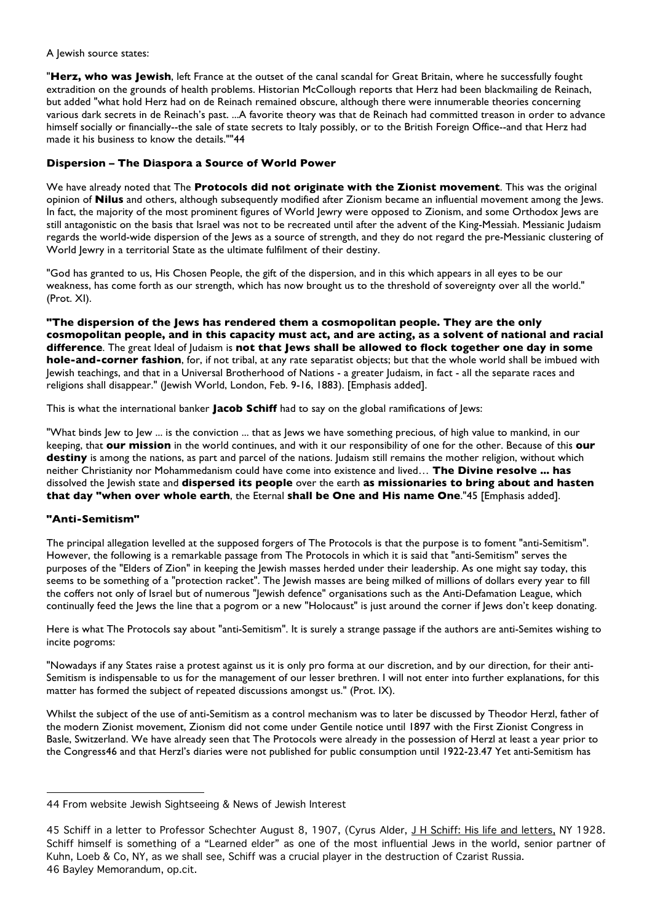A Jewish source states:

"**Herz, who was Jewish**, left France at the outset of the canal scandal for Great Britain, where he successfully fought extradition on the grounds of health problems. Historian McCollough reports that Herz had been blackmailing de Reinach, but added "what hold Herz had on de Reinach remained obscure, although there were innumerable theories concerning various dark secrets in de Reinach's past. ...A favorite theory was that de Reinach had committed treason in order to advance himself socially or financially--the sale of state secrets to Italy possibly, or to the British Foreign Office--and that Herz had made it his business to know the details.""44

## **Dispersion – The Diaspora a Source of World Power**

We have already noted that The **Protocols did not originate with the Zionist movement**. This was the original opinion of **Nilus** and others, although subsequently modified after Zionism became an influential movement among the Jews. In fact, the majority of the most prominent figures of World Jewry were opposed to Zionism, and some Orthodox Jews are still antagonistic on the basis that Israel was not to be recreated until after the advent of the King-Messiah. Messianic Judaism regards the world-wide dispersion of the Jews as a source of strength, and they do not regard the pre-Messianic clustering of World Jewry in a territorial State as the ultimate fulfilment of their destiny.

"God has granted to us, His Chosen People, the gift of the dispersion, and in this which appears in all eyes to be our weakness, has come forth as our strength, which has now brought us to the threshold of sovereignty over all the world." (Prot. XI).

**"The dispersion of the Jews has rendered them a cosmopolitan people. They are the only cosmopolitan people, and in this capacity must act, and are acting, as a solvent of national and racial difference**. The great Ideal of Judaism is **not that Jews shall be allowed to flock together one day in some hole-and-corner fashion**, for, if not tribal, at any rate separatist objects; but that the whole world shall be imbued with Jewish teachings, and that in a Universal Brotherhood of Nations - a greater Judaism, in fact - all the separate races and religions shall disappear." (Jewish World, London, Feb. 9-16, 1883). [Emphasis added].

This is what the international banker **Jacob Schiff** had to say on the global ramifications of Jews:

"What binds Jew to Jew ... is the conviction ... that as Jews we have something precious, of high value to mankind, in our keeping, that **our mission** in the world continues, and with it our responsibility of one for the other. Because of this **our destiny** is among the nations, as part and parcel of the nations. Judaism still remains the mother religion, without which neither Christianity nor Mohammedanism could have come into existence and lived… **The Divine resolve ... has** dissolved the Jewish state and **dispersed its people** over the earth **as missionaries to bring about and hasten that day "when over whole earth**, the Eternal **shall be One and His name One**."45 [Emphasis added].

## **"Anti-Semitism"**

l

The principal allegation levelled at the supposed forgers of The Protocols is that the purpose is to foment "anti-Semitism". However, the following is a remarkable passage from The Protocols in which it is said that "anti-Semitism" serves the purposes of the "Elders of Zion" in keeping the Jewish masses herded under their leadership. As one might say today, this seems to be something of a "protection racket". The Jewish masses are being milked of millions of dollars every year to fill the coffers not only of Israel but of numerous "Jewish defence" organisations such as the Anti-Defamation League, which continually feed the Jews the line that a pogrom or a new "Holocaust" is just around the corner if Jews don't keep donating.

Here is what The Protocols say about "anti-Semitism". It is surely a strange passage if the authors are anti-Semites wishing to incite pogroms:

"Nowadays if any States raise a protest against us it is only pro forma at our discretion, and by our direction, for their anti-Semitism is indispensable to us for the management of our lesser brethren. I will not enter into further explanations, for this matter has formed the subject of repeated discussions amongst us." (Prot. IX).

Whilst the subject of the use of anti-Semitism as a control mechanism was to later be discussed by Theodor Herzl, father of the modern Zionist movement, Zionism did not come under Gentile notice until 1897 with the First Zionist Congress in Basle, Switzerland. We have already seen that The Protocols were already in the possession of Herzl at least a year prior to the Congress46 and that Herzl's diaries were not published for public consumption until 1922-23.47 Yet anti-Semitism has

<sup>44</sup> From website Jewish Sightseeing & News of Jewish Interest

<sup>45</sup> Schiff in a letter to Professor Schechter August 8, 1907, (Cyrus Alder, J H Schiff: His life and letters, NY 1928. Schiff himself is something of a "Learned elder" as one of the most influential Jews in the world, senior partner of Kuhn, Loeb & Co, NY, as we shall see, Schiff was a crucial player in the destruction of Czarist Russia. 46 Bayley Memorandum, op.cit.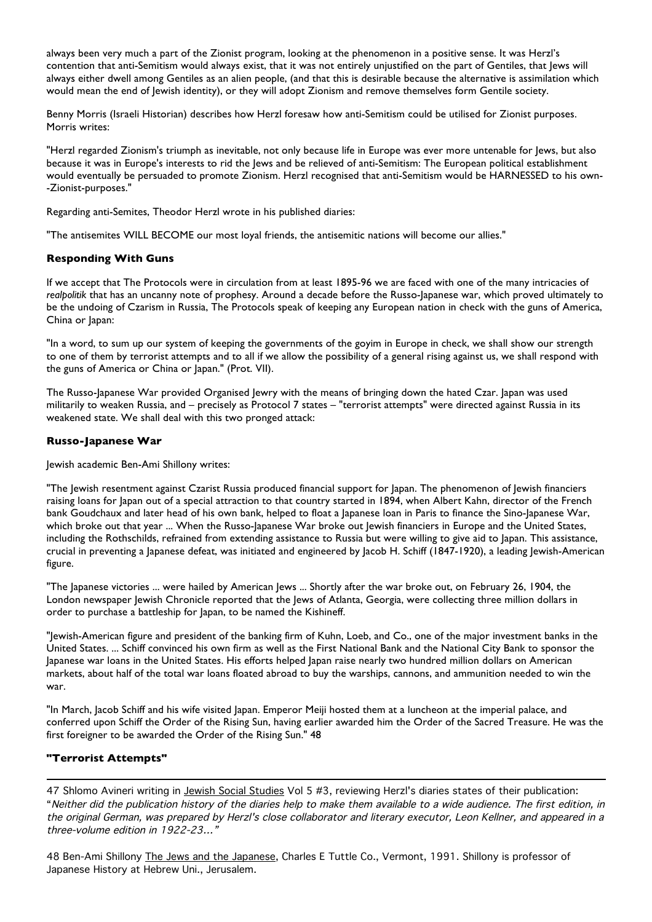always been very much a part of the Zionist program, looking at the phenomenon in a positive sense. It was Herzl's contention that anti-Semitism would always exist, that it was not entirely unjustified on the part of Gentiles, that Jews will always either dwell among Gentiles as an alien people, (and that this is desirable because the alternative is assimilation which would mean the end of lewish identity), or they will adopt Zionism and remove themselves form Gentile society.

Benny Morris (Israeli Historian) describes how Herzl foresaw how anti-Semitism could be utilised for Zionist purposes. Morris writes:

"Herzl regarded Zionism's triumph as inevitable, not only because life in Europe was ever more untenable for Jews, but also because it was in Europe's interests to rid the Jews and be relieved of anti-Semitism: The European political establishment would eventually be persuaded to promote Zionism. Herzl recognised that anti-Semitism would be HARNESSED to his own- -Zionist-purposes."

Regarding anti-Semites, Theodor Herzl wrote in his published diaries:

"The antisemites WILL BECOME our most loyal friends, the antisemitic nations will become our allies."

### **Responding With Guns**

If we accept that The Protocols were in circulation from at least 1895-96 we are faced with one of the many intricacies of *realpolitik* that has an uncanny note of prophesy. Around a decade before the Russo-Japanese war, which proved ultimately to be the undoing of Czarism in Russia, The Protocols speak of keeping any European nation in check with the guns of America, China or Japan:

"In a word, to sum up our system of keeping the governments of the goyim in Europe in check, we shall show our strength to one of them by terrorist attempts and to all if we allow the possibility of a general rising against us, we shall respond with the guns of America or China or Japan." (Prot. VII).

The Russo-Japanese War provided Organised Jewry with the means of bringing down the hated Czar. Japan was used militarily to weaken Russia, and – precisely as Protocol 7 states – "terrorist attempts" were directed against Russia in its weakened state. We shall deal with this two pronged attack:

### **Russo-Japanese War**

Jewish academic Ben-Ami Shillony writes:

"The Jewish resentment against Czarist Russia produced financial support for Japan. The phenomenon of Jewish financiers raising Joans for Japan out of a special attraction to that country started in 1894, when Albert Kahn, director of the French bank Goudchaux and later head of his own bank, helped to float a Japanese loan in Paris to finance the Sino-Japanese War, which broke out that year ... When the Russo-Japanese War broke out Jewish financiers in Europe and the United States, including the Rothschilds, refrained from extending assistance to Russia but were willing to give aid to Japan. This assistance, crucial in preventing a Japanese defeat, was initiated and engineered by Jacob H. Schiff (1847-1920), a leading Jewish-American figure.

"The Japanese victories ... were hailed by American Jews ... Shortly after the war broke out, on February 26, 1904, the London newspaper Jewish Chronicle reported that the Jews of Atlanta, Georgia, were collecting three million dollars in order to purchase a battleship for Japan, to be named the Kishineff.

"Jewish-American figure and president of the banking firm of Kuhn, Loeb, and Co., one of the major investment banks in the United States. ... Schiff convinced his own firm as well as the First National Bank and the National City Bank to sponsor the Japanese war loans in the United States. His efforts helped Japan raise nearly two hundred million dollars on American markets, about half of the total war loans floated abroad to buy the warships, cannons, and ammunition needed to win the war.

"In March, Jacob Schiff and his wife visited Japan. Emperor Meiji hosted them at a luncheon at the imperial palace, and conferred upon Schiff the Order of the Rising Sun, having earlier awarded him the Order of the Sacred Treasure. He was the first foreigner to be awarded the Order of the Rising Sun." 48

## **"Terrorist Attempts"**

l

47 Shlomo Avineri writing in Jewish Social Studies Vol 5 #3, reviewing Herzl's diaries states of their publication: "Neither did the publication history of the diaries help to make them available to a wide audience. The first edition, in the original German, was prepared by Herzl's close collaborator and literary executor, Leon Kellner, and appeared in a three-volume edition in 1922-23…"

48 Ben-Ami Shillony The Jews and the Japanese, Charles E Tuttle Co., Vermont, 1991. Shillony is professor of Japanese History at Hebrew Uni., Jerusalem.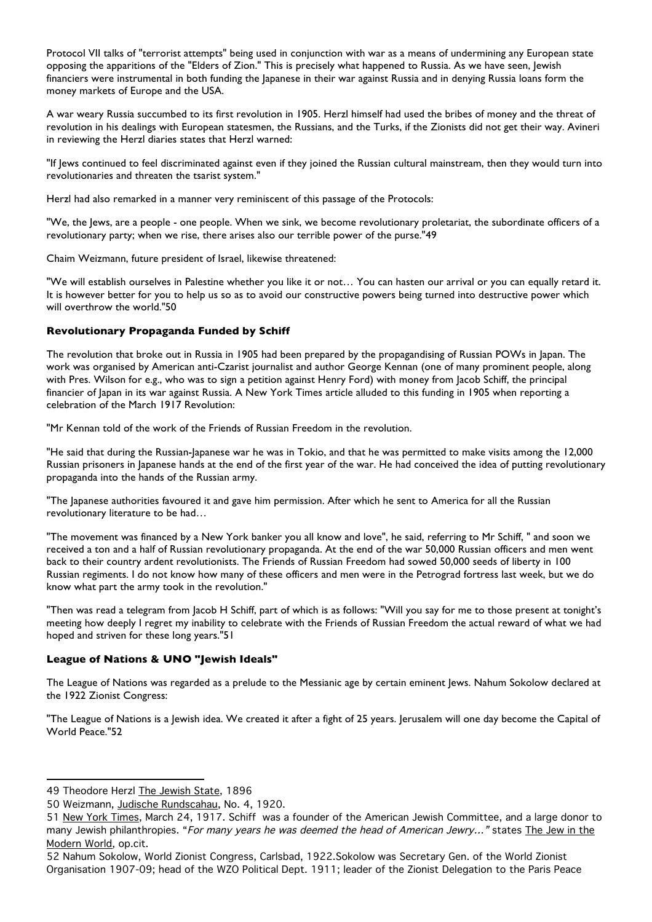Protocol VII talks of "terrorist attempts" being used in conjunction with war as a means of undermining any European state opposing the apparitions of the "Elders of Zion." This is precisely what happened to Russia. As we have seen, Jewish financiers were instrumental in both funding the Japanese in their war against Russia and in denying Russia loans form the money markets of Europe and the USA.

A war weary Russia succumbed to its first revolution in 1905. Herzl himself had used the bribes of money and the threat of revolution in his dealings with European statesmen, the Russians, and the Turks, if the Zionists did not get their way. Avineri in reviewing the Herzl diaries states that Herzl warned:

"If Jews continued to feel discriminated against even if they joined the Russian cultural mainstream, then they would turn into revolutionaries and threaten the tsarist system."

Herzl had also remarked in a manner very reminiscent of this passage of the Protocols:

"We, the Jews, are a people - one people. When we sink, we become revolutionary proletariat, the subordinate officers of a revolutionary party; when we rise, there arises also our terrible power of the purse."49

Chaim Weizmann, future president of Israel, likewise threatened:

"We will establish ourselves in Palestine whether you like it or not… You can hasten our arrival or you can equally retard it. It is however better for you to help us so as to avoid our constructive powers being turned into destructive power which will overthrow the world."50

## **Revolutionary Propaganda Funded by Schiff**

The revolution that broke out in Russia in 1905 had been prepared by the propagandising of Russian POWs in Japan. The work was organised by American anti-Czarist journalist and author George Kennan (one of many prominent people, along with Pres. Wilson for e.g., who was to sign a petition against Henry Ford) with money from Jacob Schiff, the principal financier of Japan in its war against Russia. A New York Times article alluded to this funding in 1905 when reporting a celebration of the March 1917 Revolution:

"Mr Kennan told of the work of the Friends of Russian Freedom in the revolution.

"He said that during the Russian-Japanese war he was in Tokio, and that he was permitted to make visits among the 12,000 Russian prisoners in Japanese hands at the end of the first year of the war. He had conceived the idea of putting revolutionary propaganda into the hands of the Russian army.

"The Japanese authorities favoured it and gave him permission. After which he sent to America for all the Russian revolutionary literature to be had…

"The movement was financed by a New York banker you all know and love", he said, referring to Mr Schiff, " and soon we received a ton and a half of Russian revolutionary propaganda. At the end of the war 50,000 Russian officers and men went back to their country ardent revolutionists. The Friends of Russian Freedom had sowed 50,000 seeds of liberty in 100 Russian regiments. I do not know how many of these officers and men were in the Petrograd fortress last week, but we do know what part the army took in the revolution."

"Then was read a telegram from Jacob H Schiff, part of which is as follows: "Will you say for me to those present at tonight's meeting how deeply I regret my inability to celebrate with the Friends of Russian Freedom the actual reward of what we had hoped and striven for these long years."51

# **League of Nations & UNO "Jewish Ideals"**

The League of Nations was regarded as a prelude to the Messianic age by certain eminent Jews. Nahum Sokolow declared at the 1922 Zionist Congress:

"The League of Nations is a Jewish idea. We created it after a fight of 25 years. Jerusalem will one day become the Capital of World Peace."52

<sup>49</sup> Theodore Herzl The Jewish State, 1896

<sup>50</sup> Weizmann, Judische Rundscahau, No. 4, 1920.

<sup>51</sup> New York Times, March 24, 1917. Schiff was a founder of the American Jewish Committee, and a large donor to many Jewish philanthropies. "For many years he was deemed the head of American Jewry..." states The Jew in the Modern World, op.cit.

<sup>52</sup> Nahum Sokolow, World Zionist Congress, Carlsbad, 1922.Sokolow was Secretary Gen. of the World Zionist Organisation 1907-09; head of the WZO Political Dept. 1911; leader of the Zionist Delegation to the Paris Peace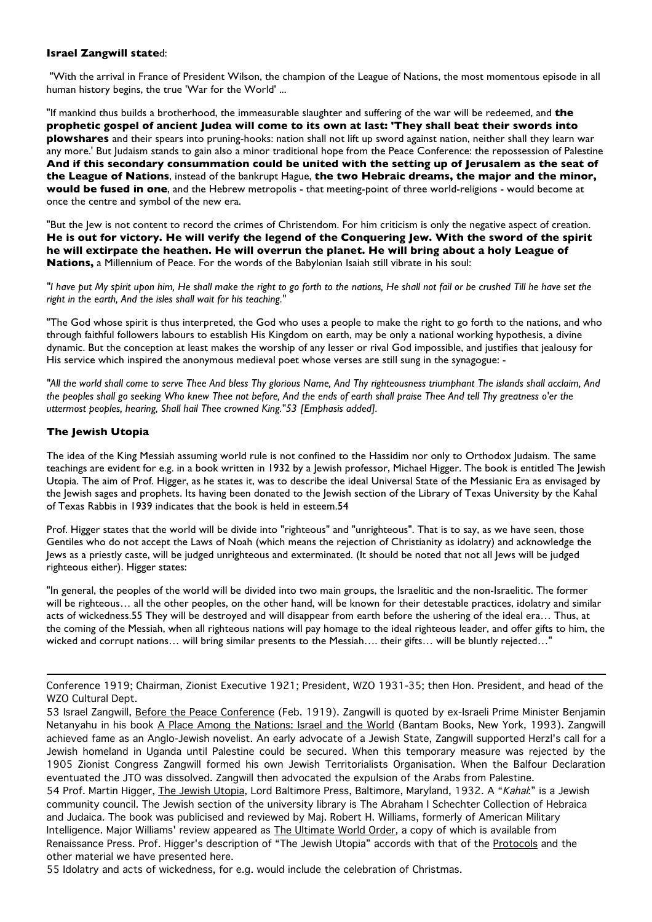### **Israel Zangwill state**d:

"With the arrival in France of President Wilson, the champion of the League of Nations, the most momentous episode in all human history begins, the true 'War for the World' ...

"If mankind thus builds a brotherhood, the immeasurable slaughter and suffering of the war will be redeemed, and **the prophetic gospel of ancient Judea will come to its own at last: 'They shall beat their swords into plowshares** and their spears into pruning-hooks: nation shall not lift up sword against nation, neither shall they learn war any more.' But Judaism stands to gain also a minor traditional hope from the Peace Conference: the repossession of Palestine **And if this secondary consummation could be united with the setting up of Jerusalem as the seat of the League of Nations**, instead of the bankrupt Hague, **the two Hebraic dreams, the major and the minor, would be fused in one**, and the Hebrew metropolis - that meeting-point of three world-religions - would become at once the centre and symbol of the new era.

"But the Jew is not content to record the crimes of Christendom. For him criticism is only the negative aspect of creation. **He is out for victory. He will verify the legend of the Conquering Jew. With the sword of the spirit he will extirpate the heathen. He will overrun the planet. He will bring about a holy League of Nations,** a Millennium of Peace. For the words of the Babylonian Isaiah still vibrate in his soul:

*"I have put My spirit upon him, He shall make the right to go forth to the nations, He shall not fail or be crushed Till he have set the right in the earth, And the isles shall wait for his teaching."*

"The God whose spirit is thus interpreted, the God who uses a people to make the right to go forth to the nations, and who through faithful followers labours to establish His Kingdom on earth, may be only a national working hypothesis, a divine dynamic. But the conception at least makes the worship of any lesser or rival God impossible, and justifies that jealousy for His service which inspired the anonymous medieval poet whose verses are still sung in the synagogue: -

*"All the world shall come to serve Thee And bless Thy glorious Name, And Thy righteousness triumphant The islands shall acclaim, And the peoples shall go seeking Who knew Thee not before, And the ends of earth shall praise Thee And tell Thy greatness o'er the uttermost peoples, hearing, Shall hail Thee crowned King."53 [Emphasis added].*

### **The Jewish Utopia**

l

The idea of the King Messiah assuming world rule is not confined to the Hassidim nor only to Orthodox Judaism. The same teachings are evident for e.g. in a book written in 1932 by a Jewish professor, Michael Higger. The book is entitled The Jewish Utopia. The aim of Prof. Higger, as he states it, was to describe the ideal Universal State of the Messianic Era as envisaged by the Jewish sages and prophets. Its having been donated to the Jewish section of the Library of Texas University by the Kahal of Texas Rabbis in 1939 indicates that the book is held in esteem.54

Prof. Higger states that the world will be divide into "righteous" and "unrighteous". That is to say, as we have seen, those Gentiles who do not accept the Laws of Noah (which means the rejection of Christianity as idolatry) and acknowledge the Jews as a priestly caste, will be judged unrighteous and exterminated. (It should be noted that not all Jews will be judged righteous either). Higger states:

"In general, the peoples of the world will be divided into two main groups, the Israelitic and the non-Israelitic. The former will be righteous… all the other peoples, on the other hand, will be known for their detestable practices, idolatry and similar acts of wickedness.55 They will be destroyed and will disappear from earth before the ushering of the ideal era… Thus, at the coming of the Messiah, when all righteous nations will pay homage to the ideal righteous leader, and offer gifts to him, the wicked and corrupt nations… will bring similar presents to the Messiah…. their gifts… will be bluntly rejected…"

55 Idolatry and acts of wickedness, for e.g. would include the celebration of Christmas.

Conference 1919; Chairman, Zionist Executive 1921; President, WZO 1931-35; then Hon. President, and head of the WZO Cultural Dept.

<sup>53</sup> Israel Zangwill, Before the Peace Conference (Feb. 1919). Zangwill is quoted by ex-Israeli Prime Minister Benjamin Netanyahu in his book A Place Among the Nations: Israel and the World (Bantam Books, New York, 1993). Zangwill achieved fame as an Anglo-Jewish novelist. An early advocate of a Jewish State, Zangwill supported Herzl's call for a Jewish homeland in Uganda until Palestine could be secured. When this temporary measure was rejected by the 1905 Zionist Congress Zangwill formed his own Jewish Territorialists Organisation. When the Balfour Declaration eventuated the JTO was dissolved. Zangwill then advocated the expulsion of the Arabs from Palestine.

<sup>54</sup> Prof. Martin Higger, The Jewish Utopia, Lord Baltimore Press, Baltimore, Maryland, 1932. A "Kahal:" is a Jewish community council. The Jewish section of the university library is The Abraham I Schechter Collection of Hebraica and Judaica. The book was publicised and reviewed by Maj. Robert H. Williams, formerly of American Military Intelligence. Major Williams' review appeared as The Ultimate World Order, a copy of which is available from Renaissance Press. Prof. Higger's description of "The Jewish Utopia" accords with that of the Protocols and the other material we have presented here.